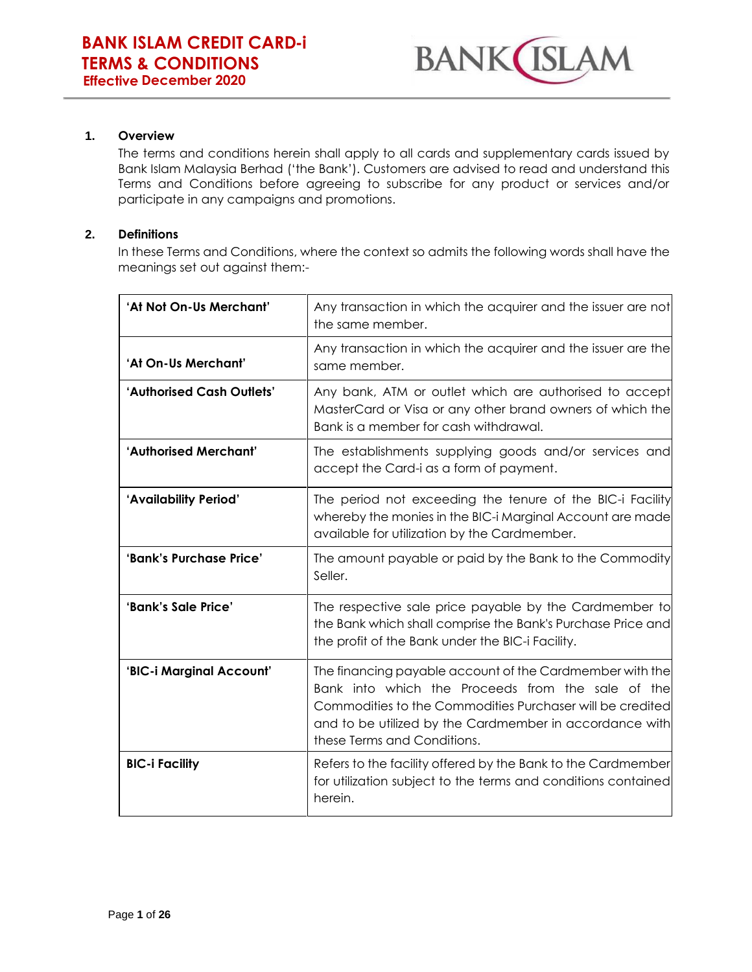

# **1. Overview**

The terms and conditions herein shall apply to all cards and supplementary cards issued by Bank Islam Malaysia Berhad ('the Bank'). Customers are advised to read and understand this Terms and Conditions before agreeing to subscribe for any product or services and/or participate in any campaigns and promotions.

### **2. Definitions**

In these Terms and Conditions, where the context so admits the following words shall have the meanings set out against them:-

| 'At Not On-Us Merchant'   | Any transaction in which the acquirer and the issuer are not<br>the same member.                                                                                                                                                                                     |
|---------------------------|----------------------------------------------------------------------------------------------------------------------------------------------------------------------------------------------------------------------------------------------------------------------|
| 'At On-Us Merchant'       | Any transaction in which the acquirer and the issuer are the<br>same member.                                                                                                                                                                                         |
| 'Authorised Cash Outlets' | Any bank, ATM or outlet which are authorised to accept<br>MasterCard or Visa or any other brand owners of which the<br>Bank is a member for cash withdrawal.                                                                                                         |
| 'Authorised Merchant'     | The establishments supplying goods and/or services and<br>accept the Card-i as a form of payment.                                                                                                                                                                    |
| 'Availability Period'     | The period not exceeding the tenure of the BIC-i Facility<br>whereby the monies in the BIC-i Marginal Account are made<br>available for utilization by the Cardmember.                                                                                               |
| 'Bank's Purchase Price'   | The amount payable or paid by the Bank to the Commodity<br>Seller.                                                                                                                                                                                                   |
| 'Bank's Sale Price'       | The respective sale price payable by the Cardmember to<br>the Bank which shall comprise the Bank's Purchase Price and<br>the profit of the Bank under the BIC-i Facility.                                                                                            |
| 'BIC-i Marginal Account'  | The financing payable account of the Cardmember with the<br>Bank into which the Proceeds from the sale of the<br>Commodities to the Commodities Purchaser will be credited<br>and to be utilized by the Cardmember in accordance with<br>these Terms and Conditions. |
| <b>BIC-i Facility</b>     | Refers to the facility offered by the Bank to the Cardmember<br>for utilization subject to the terms and conditions contained<br>herein.                                                                                                                             |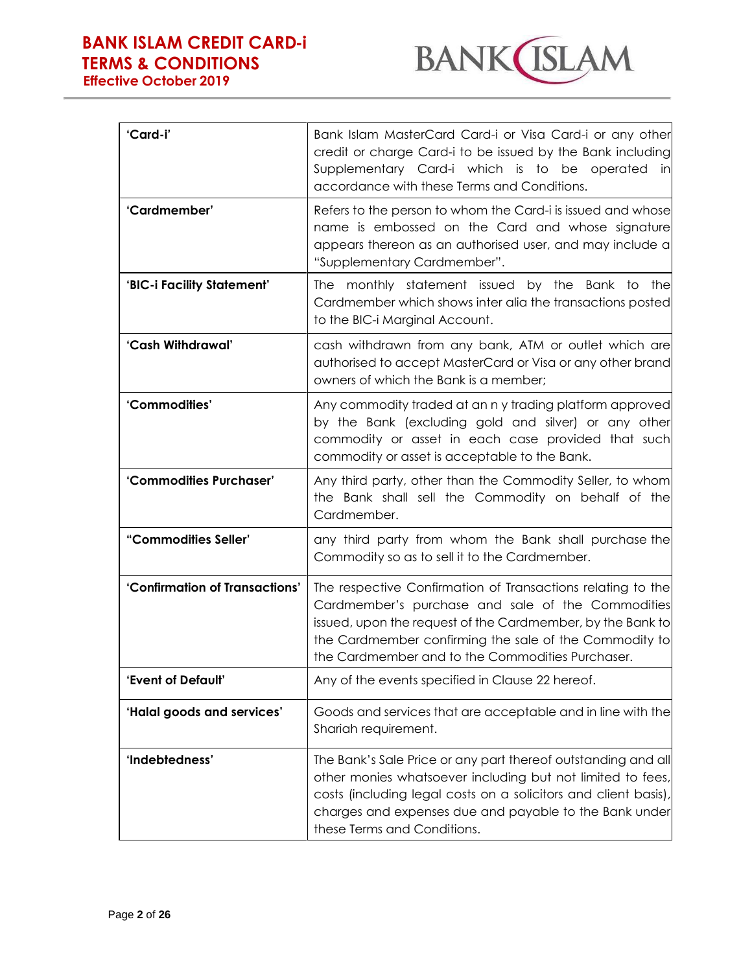

| 'Card-i'                       | Bank Islam MasterCard Card-i or Visa Card-i or any other<br>credit or charge Card-i to be issued by the Bank including<br>Supplementary Card-i which is to be operated<br>in<br>accordance with these Terms and Conditions.                                                                  |
|--------------------------------|----------------------------------------------------------------------------------------------------------------------------------------------------------------------------------------------------------------------------------------------------------------------------------------------|
| 'Cardmember'                   | Refers to the person to whom the Card-i is issued and whose<br>name is embossed on the Card and whose signature<br>appears thereon as an authorised user, and may include a<br>"Supplementary Cardmember".                                                                                   |
| 'BIC-i Facility Statement'     | The monthly statement issued by the Bank to the<br>Cardmember which shows inter alia the transactions posted<br>to the BIC-i Marginal Account.                                                                                                                                               |
| 'Cash Withdrawal'              | cash withdrawn from any bank, ATM or outlet which are<br>authorised to accept MasterCard or Visa or any other brand<br>owners of which the Bank is a member;                                                                                                                                 |
| 'Commodities'                  | Any commodity traded at an n y trading platform approved<br>by the Bank (excluding gold and silver) or any other<br>commodity or asset in each case provided that such<br>commodity or asset is acceptable to the Bank.                                                                      |
| 'Commodities Purchaser'        | Any third party, other than the Commodity Seller, to whom<br>the Bank shall sell the Commodity on behalf of the<br>Cardmember.                                                                                                                                                               |
| "Commodities Seller"           | any third party from whom the Bank shall purchase the<br>Commodity so as to sell it to the Cardmember.                                                                                                                                                                                       |
| 'Confirmation of Transactions' | The respective Confirmation of Transactions relating to the<br>Cardmember's purchase and sale of the Commodities<br>issued, upon the request of the Cardmember, by the Bank to<br>the Cardmember confirming the sale of the Commodity to<br>the Cardmember and to the Commodities Purchaser. |
| <b>Event of Default</b>        | Any of the events specified in Clause 22 hereof.                                                                                                                                                                                                                                             |
| 'Halal goods and services'     | Goods and services that are acceptable and in line with the<br>Shariah requirement.                                                                                                                                                                                                          |
| 'Indebtedness'                 | The Bank's Sale Price or any part thereof outstanding and all<br>other monies whatsoever including but not limited to fees,<br>costs (including legal costs on a solicitors and client basis),<br>charges and expenses due and payable to the Bank under<br>these Terms and Conditions.      |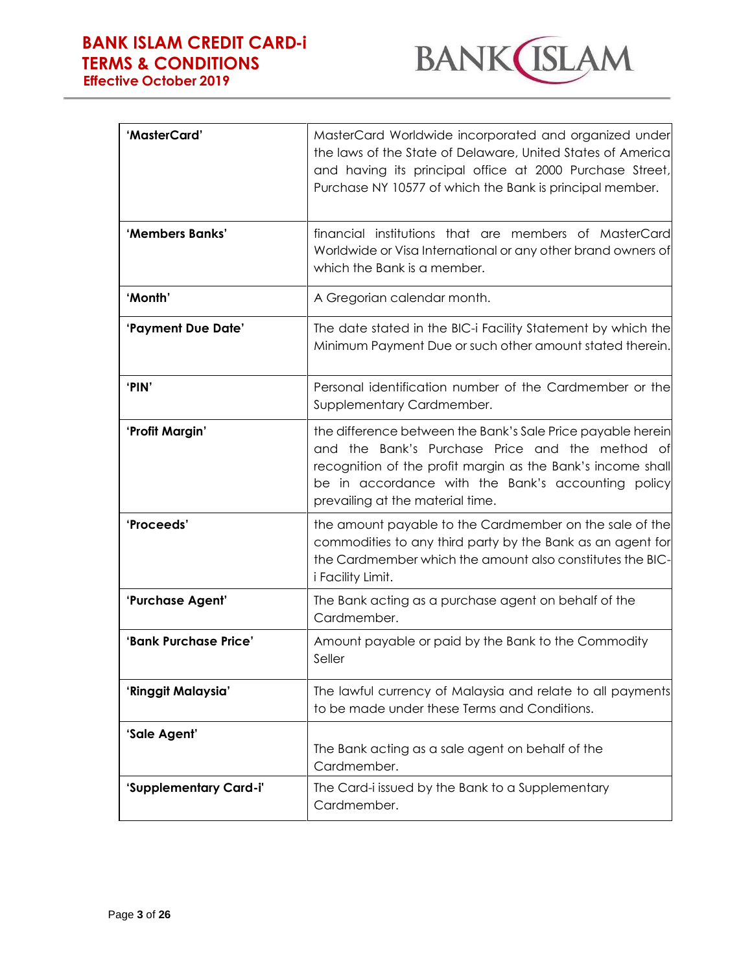

| 'MasterCard'           | MasterCard Worldwide incorporated and organized under<br>the laws of the State of Delaware, United States of America<br>and having its principal office at 2000 Purchase Street,<br>Purchase NY 10577 of which the Bank is principal member.                            |
|------------------------|-------------------------------------------------------------------------------------------------------------------------------------------------------------------------------------------------------------------------------------------------------------------------|
| 'Members Banks'        | financial institutions that are members of MasterCard<br>Worldwide or Visa International or any other brand owners of<br>which the Bank is a member.                                                                                                                    |
| 'Month'                | A Gregorian calendar month.                                                                                                                                                                                                                                             |
| 'Payment Due Date'     | The date stated in the BIC-i Facility Statement by which the<br>Minimum Payment Due or such other amount stated therein.                                                                                                                                                |
| 'PIN'                  | Personal identification number of the Cardmember or the<br>Supplementary Cardmember.                                                                                                                                                                                    |
| 'Profit Margin'        | the difference between the Bank's Sale Price payable herein<br>and the Bank's Purchase Price and the method of<br>recognition of the profit margin as the Bank's income shall<br>be in accordance with the Bank's accounting policy<br>prevailing at the material time. |
| 'Proceeds'             | the amount payable to the Cardmember on the sale of the<br>commodities to any third party by the Bank as an agent for<br>the Cardmember which the amount also constitutes the BIC-<br><i>i</i> Facility Limit.                                                          |
| 'Purchase Agent'       | The Bank acting as a purchase agent on behalf of the<br>Cardmember.                                                                                                                                                                                                     |
| 'Bank Purchase Price'  | Amount payable or paid by the Bank to the Commodity<br>Seller                                                                                                                                                                                                           |
| 'Ringgit Malaysia'     | The lawful currency of Malaysia and relate to all payments<br>to be made under these Terms and Conditions.                                                                                                                                                              |
| 'Sale Agent'           | The Bank acting as a sale agent on behalf of the<br>Cardmember.                                                                                                                                                                                                         |
| 'Supplementary Card-i' | The Card-i issued by the Bank to a Supplementary<br>Cardmember.                                                                                                                                                                                                         |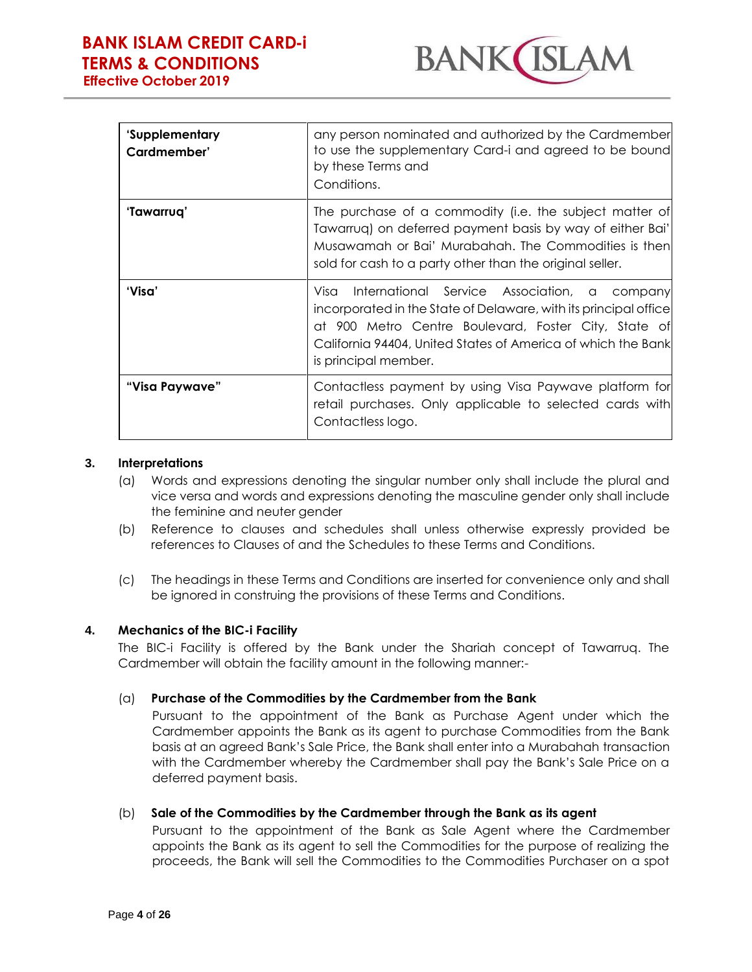

| 'Supplementary<br>Cardmember' | any person nominated and authorized by the Cardmember<br>to use the supplementary Card-i and agreed to be bound<br>by these Terms and<br>Conditions.                                                                                                                        |
|-------------------------------|-----------------------------------------------------------------------------------------------------------------------------------------------------------------------------------------------------------------------------------------------------------------------------|
| 'Tawarruq'                    | The purchase of a commodity (i.e. the subject matter of<br>Tawarrug) on deferred payment basis by way of either Bai'<br>Musawamah or Bai' Murabahah. The Commodities is then<br>sold for cash to a party other than the original seller.                                    |
| 'Visa'                        | International Service Association, a<br>Visa<br>company<br>incorporated in the State of Delaware, with its principal office<br>at 900 Metro Centre Boulevard, Foster City, State of<br>California 94404, United States of America of which the Bank<br>is principal member. |
| "Visa Paywave"                | Contactless payment by using Visa Paywave platform for<br>retail purchases. Only applicable to selected cards with<br>Contactless logo.                                                                                                                                     |

### **3. Interpretations**

- (a) Words and expressions denoting the singular number only shall include the plural and vice versa and words and expressions denoting the masculine gender only shall include the feminine and neuter gender
- (b) Reference to clauses and schedules shall unless otherwise expressly provided be references to Clauses of and the Schedules to these Terms and Conditions.
- (c) The headings in these Terms and Conditions are inserted for convenience only and shall be ignored in construing the provisions of these Terms and Conditions.

# **4. Mechanics of the BIC-i Facility**

The BIC-i Facility is offered by the Bank under the Shariah concept of Tawarruq. The Cardmember will obtain the facility amount in the following manner:-

# (a) **Purchase of the Commodities by the Cardmember from the Bank**

Pursuant to the appointment of the Bank as Purchase Agent under which the Cardmember appoints the Bank as its agent to purchase Commodities from the Bank basis at an agreed Bank's Sale Price, the Bank shall enter into a Murabahah transaction with the Cardmember whereby the Cardmember shall pay the Bank's Sale Price on a deferred payment basis.

#### (b) **Sale of the Commodities by the Cardmember through the Bank as its agent**

Pursuant to the appointment of the Bank as Sale Agent where the Cardmember appoints the Bank as its agent to sell the Commodities for the purpose of realizing the proceeds, the Bank will sell the Commodities to the Commodities Purchaser on a spot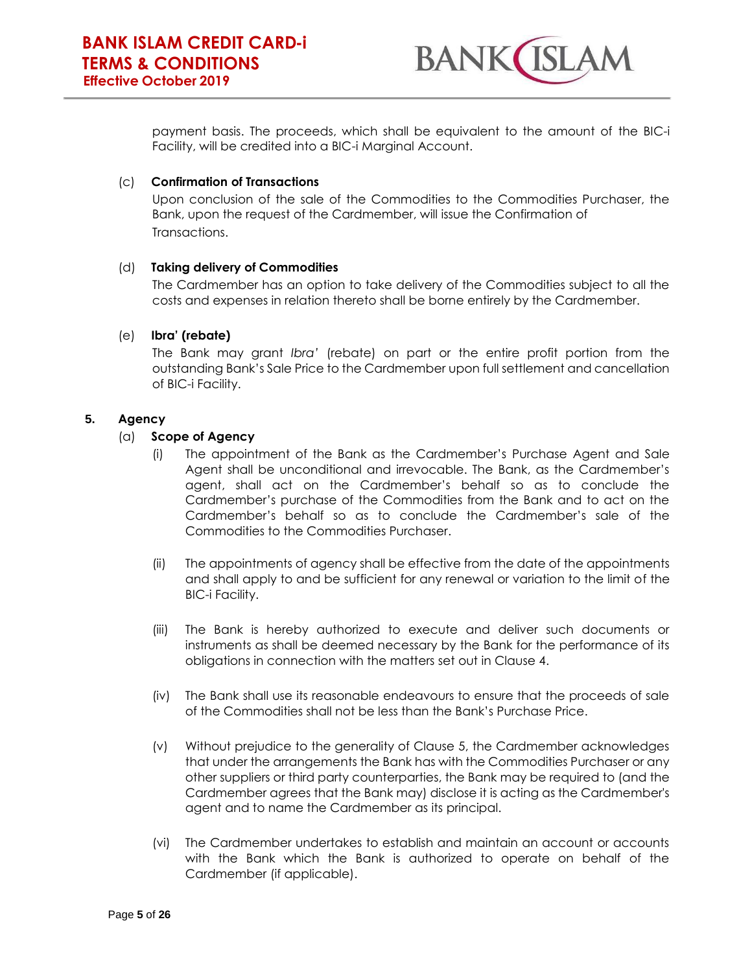

payment basis. The proceeds, which shall be equivalent to the amount of the BIC-i Facility, will be credited into a BIC-i Marginal Account.

### (c) **Confirmation of Transactions**

Upon conclusion of the sale of the Commodities to the Commodities Purchaser, the Bank, upon the request of the Cardmember, will issue the Confirmation of Transactions.

### (d) **Taking delivery of Commodities**

The Cardmember has an option to take delivery of the Commodities subject to all the costs and expenses in relation thereto shall be borne entirely by the Cardmember.

### (e) **Ibra' (rebate)**

The Bank may grant *Ibra'* (rebate) on part or the entire profit portion from the outstanding Bank's Sale Price to the Cardmember upon full settlement and cancellation of BIC-i Facility.

### **5. Agency**

### (a) **Scope of Agency**

- (i) The appointment of the Bank as the Cardmember's Purchase Agent and Sale Agent shall be unconditional and irrevocable. The Bank, as the Cardmember's agent, shall act on the Cardmember's behalf so as to conclude the Cardmember's purchase of the Commodities from the Bank and to act on the Cardmember's behalf so as to conclude the Cardmember's sale of the Commodities to the Commodities Purchaser.
- (ii) The appointments of agency shall be effective from the date of the appointments and shall apply to and be sufficient for any renewal or variation to the limit of the BIC-i Facility.
- (iii) The Bank is hereby authorized to execute and deliver such documents or instruments as shall be deemed necessary by the Bank for the performance of its obligations in connection with the matters set out in Clause 4.
- (iv) The Bank shall use its reasonable endeavours to ensure that the proceeds of sale of the Commodities shall not be less than the Bank's Purchase Price.
- (v) Without prejudice to the generality of Clause 5, the Cardmember acknowledges that under the arrangements the Bank has with the Commodities Purchaser or any other suppliers or third party counterparties, the Bank may be required to (and the Cardmember agrees that the Bank may) disclose it is acting as the Cardmember's agent and to name the Cardmember as its principal.
- (vi) The Cardmember undertakes to establish and maintain an account or accounts with the Bank which the Bank is authorized to operate on behalf of the Cardmember (if applicable).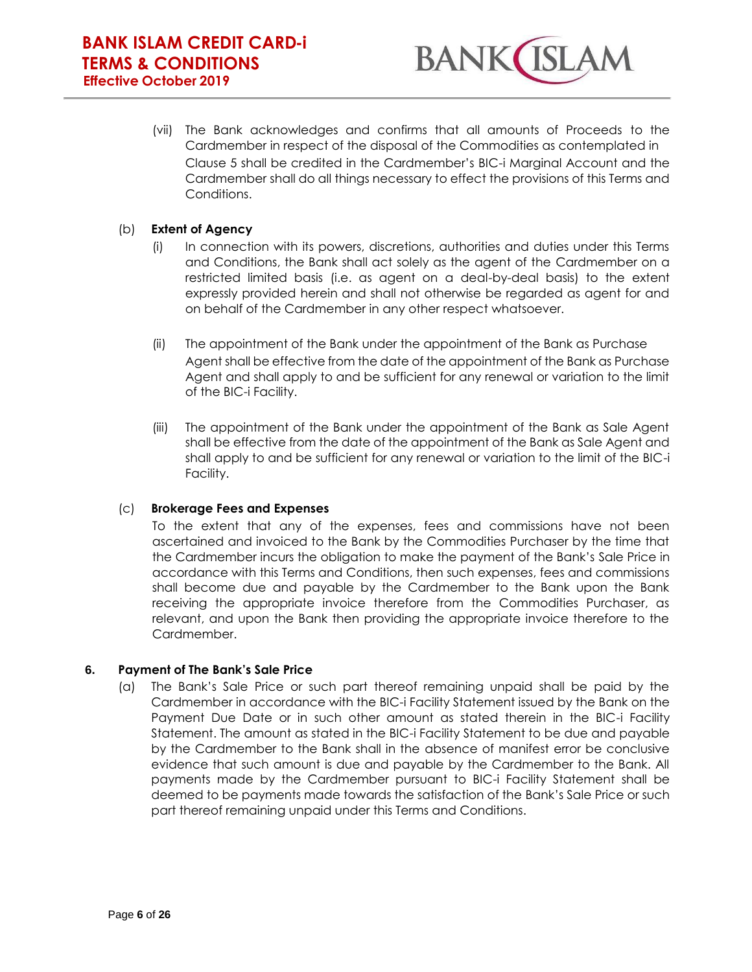

(vii) The Bank acknowledges and confirms that all amounts of Proceeds to the Cardmember in respect of the disposal of the Commodities as contemplated in Clause 5 shall be credited in the Cardmember's BIC-i Marginal Account and the Cardmember shall do all things necessary to effect the provisions of this Terms and Conditions.

# (b) **Extent of Agency**

- (i) In connection with its powers, discretions, authorities and duties under this Terms and Conditions, the Bank shall act solely as the agent of the Cardmember on a restricted limited basis (i.e. as agent on a deal-by-deal basis) to the extent expressly provided herein and shall not otherwise be regarded as agent for and on behalf of the Cardmember in any other respect whatsoever.
- (ii) The appointment of the Bank under the appointment of the Bank as Purchase Agent shall be effective from the date of the appointment of the Bank as Purchase Agent and shall apply to and be sufficient for any renewal or variation to the limit of the BIC-i Facility.
- (iii) The appointment of the Bank under the appointment of the Bank as Sale Agent shall be effective from the date of the appointment of the Bank as Sale Agent and shall apply to and be sufficient for any renewal or variation to the limit of the BIC-i Facility.

# (c) **Brokerage Fees and Expenses**

To the extent that any of the expenses, fees and commissions have not been ascertained and invoiced to the Bank by the Commodities Purchaser by the time that the Cardmember incurs the obligation to make the payment of the Bank's Sale Price in accordance with this Terms and Conditions, then such expenses, fees and commissions shall become due and payable by the Cardmember to the Bank upon the Bank receiving the appropriate invoice therefore from the Commodities Purchaser, as relevant, and upon the Bank then providing the appropriate invoice therefore to the Cardmember.

# **6. Payment of The Bank's Sale Price**

(a) The Bank's Sale Price or such part thereof remaining unpaid shall be paid by the Cardmember in accordance with the BIC-i Facility Statement issued by the Bank on the Payment Due Date or in such other amount as stated therein in the BIC-i Facility Statement. The amount as stated in the BIC-i Facility Statement to be due and payable by the Cardmember to the Bank shall in the absence of manifest error be conclusive evidence that such amount is due and payable by the Cardmember to the Bank. All payments made by the Cardmember pursuant to BIC-i Facility Statement shall be deemed to be payments made towards the satisfaction of the Bank's Sale Price or such part thereof remaining unpaid under this Terms and Conditions.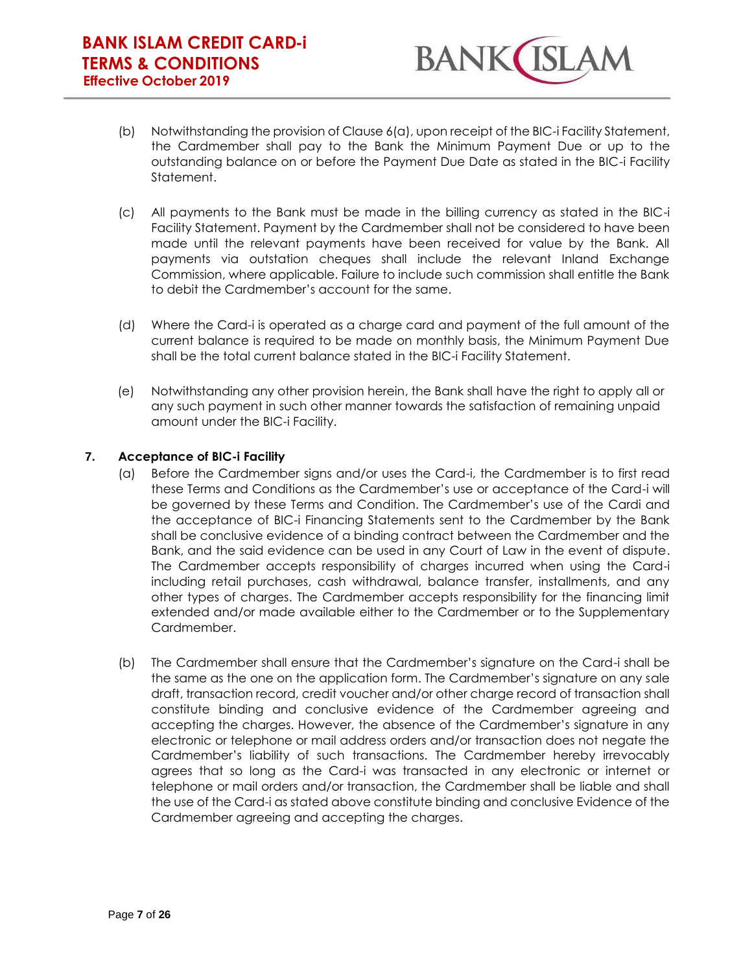

- (b) Notwithstanding the provision of Clause 6(a), upon receipt of the BIC-i Facility Statement, the Cardmember shall pay to the Bank the Minimum Payment Due or up to the outstanding balance on or before the Payment Due Date as stated in the BIC-i Facility Statement.
- (c) All payments to the Bank must be made in the billing currency as stated in the BIC-i Facility Statement. Payment by the Cardmember shall not be considered to have been made until the relevant payments have been received for value by the Bank. All payments via outstation cheques shall include the relevant Inland Exchange Commission, where applicable. Failure to include such commission shall entitle the Bank to debit the Cardmember's account for the same.
- (d) Where the Card-i is operated as a charge card and payment of the full amount of the current balance is required to be made on monthly basis, the Minimum Payment Due shall be the total current balance stated in the BIC-i Facility Statement.
- (e) Notwithstanding any other provision herein, the Bank shall have the right to apply all or any such payment in such other manner towards the satisfaction of remaining unpaid amount under the BIC-i Facility.

# **7. Acceptance of BIC-i Facility**

- (a) Before the Cardmember signs and/or uses the Card-i, the Cardmember is to first read these Terms and Conditions as the Cardmember's use or acceptance of the Card-i will be governed by these Terms and Condition. The Cardmember's use of the Cardi and the acceptance of BIC-i Financing Statements sent to the Cardmember by the Bank shall be conclusive evidence of a binding contract between the Cardmember and the Bank, and the said evidence can be used in any Court of Law in the event of dispute. The Cardmember accepts responsibility of charges incurred when using the Card-i including retail purchases, cash withdrawal, balance transfer, installments, and any other types of charges. The Cardmember accepts responsibility for the financing limit extended and/or made available either to the Cardmember or to the Supplementary Cardmember.
- (b) The Cardmember shall ensure that the Cardmember's signature on the Card-i shall be the same as the one on the application form. The Cardmember's signature on any sale draft, transaction record, credit voucher and/or other charge record of transaction shall constitute binding and conclusive evidence of the Cardmember agreeing and accepting the charges. However, the absence of the Cardmember's signature in any electronic or telephone or mail address orders and/or transaction does not negate the Cardmember's liability of such transactions. The Cardmember hereby irrevocably agrees that so long as the Card-i was transacted in any electronic or internet or telephone or mail orders and/or transaction, the Cardmember shall be liable and shall the use of the Card-i as stated above constitute binding and conclusive Evidence of the Cardmember agreeing and accepting the charges.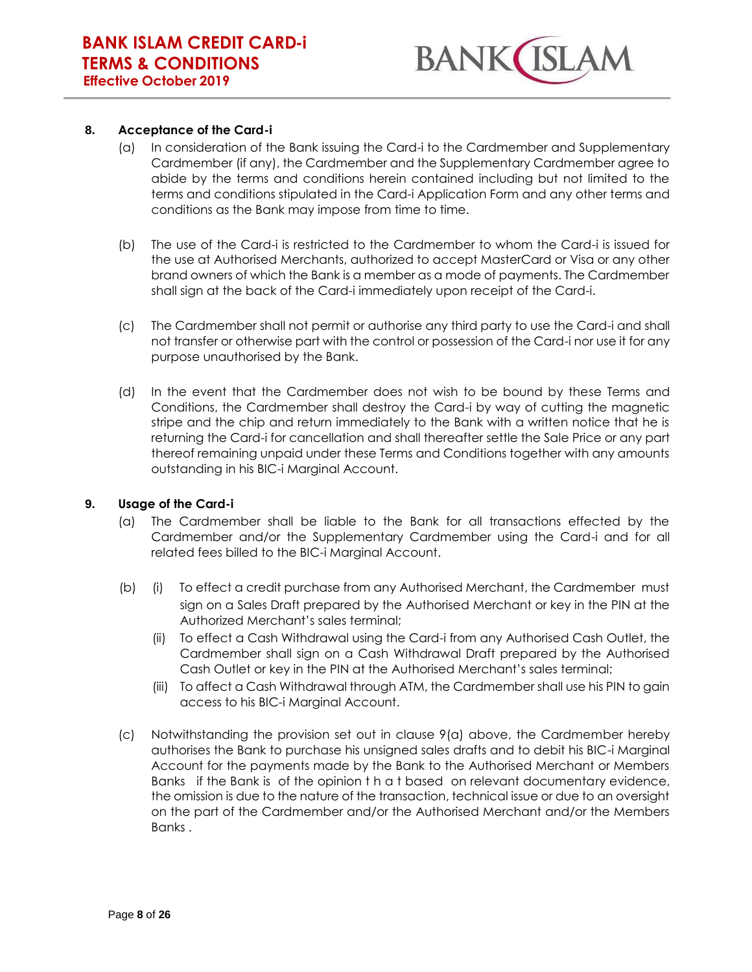

### **8. Acceptance of the Card-i**

- (a) In consideration of the Bank issuing the Card-i to the Cardmember and Supplementary Cardmember (if any), the Cardmember and the Supplementary Cardmember agree to abide by the terms and conditions herein contained including but not limited to the terms and conditions stipulated in the Card-i Application Form and any other terms and conditions as the Bank may impose from time to time.
- (b) The use of the Card-i is restricted to the Cardmember to whom the Card-i is issued for the use at Authorised Merchants, authorized to accept MasterCard or Visa or any other brand owners of which the Bank is a member as a mode of payments. The Cardmember shall sign at the back of the Card-i immediately upon receipt of the Card-i.
- (c) The Cardmember shall not permit or authorise any third party to use the Card-i and shall not transfer or otherwise part with the control or possession of the Card-i nor use it for any purpose unauthorised by the Bank.
- (d) In the event that the Cardmember does not wish to be bound by these Terms and Conditions, the Cardmember shall destroy the Card-i by way of cutting the magnetic stripe and the chip and return immediately to the Bank with a written notice that he is returning the Card-i for cancellation and shall thereafter settle the Sale Price or any part thereof remaining unpaid under these Terms and Conditions together with any amounts outstanding in his BIC-i Marginal Account.

# **9. Usage of the Card-i**

- (a) The Cardmember shall be liable to the Bank for all transactions effected by the Cardmember and/or the Supplementary Cardmember using the Card-i and for all related fees billed to the BIC-i Marginal Account.
- (b) (i) To effect a credit purchase from any Authorised Merchant, the Cardmember must sign on a Sales Draft prepared by the Authorised Merchant or key in the PIN at the Authorized Merchant's sales terminal;
	- (ii) To effect a Cash Withdrawal using the Card-i from any Authorised Cash Outlet, the Cardmember shall sign on a Cash Withdrawal Draft prepared by the Authorised Cash Outlet or key in the PIN at the Authorised Merchant's sales terminal;
	- (iii) To affect a Cash Withdrawal through ATM, the Cardmember shall use his PIN to gain access to his BIC-i Marginal Account.
- (c) Notwithstanding the provision set out in clause 9(a) above, the Cardmember hereby authorises the Bank to purchase his unsigned sales drafts and to debit his BIC-i Marginal Account for the payments made by the Bank to the Authorised Merchant or Members Banks if the Bank is of the opinion t h a t based on relevant documentary evidence, the omission is due to the nature of the transaction, technical issue or due to an oversight on the part of the Cardmember and/or the Authorised Merchant and/or the Members Banks .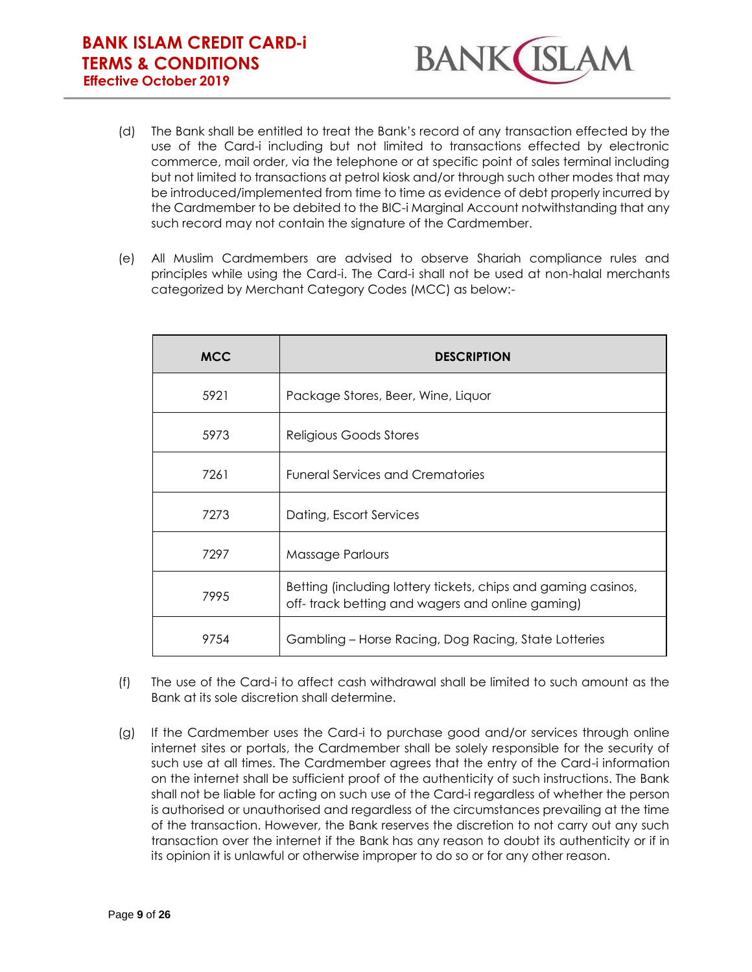

- (d) The Bank shall be entitled to treat the Bank's record of any transaction effected by the use of the Card-i including but not limited to transactions effected by electronic commerce, mail order, via the telephone or at specific point of sales terminal including but not limited to transactions at petrol kiosk and/or through such other modes that may be introduced/implemented from time to time as evidence of debt properly incurred by the Cardmember to be debited to the BIC-i Marginal Account notwithstanding that any such record may not contain the signature of the Cardmember.
- (e) All Muslim Cardmembers are advised to observe Shariah compliance rules and principles while using the Card-i. The Card-i shall not be used at non-halal merchants categorized by Merchant Category Codes (MCC) as below:-

| <b>MCC</b> | <b>DESCRIPTION</b>                                                                                               |
|------------|------------------------------------------------------------------------------------------------------------------|
| 5921       | Package Stores, Beer, Wine, Liquor                                                                               |
| 5973       | Religious Goods Stores                                                                                           |
| 7261       | <b>Funeral Services and Crematories</b>                                                                          |
| 7273       | Dating, Escort Services                                                                                          |
| 7297       | Massage Parlours                                                                                                 |
| 7995       | Betting (including lottery tickets, chips and gaming casinos,<br>off-track betting and wagers and online gaming) |
| 9754       | Gambling – Horse Racing, Dog Racing, State Lotteries                                                             |

- (f) The use of the Card-i to affect cash withdrawal shall be limited to such amount as the Bank at its sole discretion shall determine.
- (g) If the Cardmember uses the Card-i to purchase good and/or services through online internet sites or portals, the Cardmember shall be solely responsible for the security of such use at all times. The Cardmember agrees that the entry of the Card-i information on the internet shall be sufficient proof of the authenticity of such instructions. The Bank shall not be liable for acting on such use of the Card-i regardless of whether the person is authorised or unauthorised and regardless of the circumstances prevailing at the time of the transaction. However, the Bank reserves the discretion to not carry out any such transaction over the internet if the Bank has any reason to doubt its authenticity or if in its opinion it is unlawful or otherwise improper to do so or for any other reason.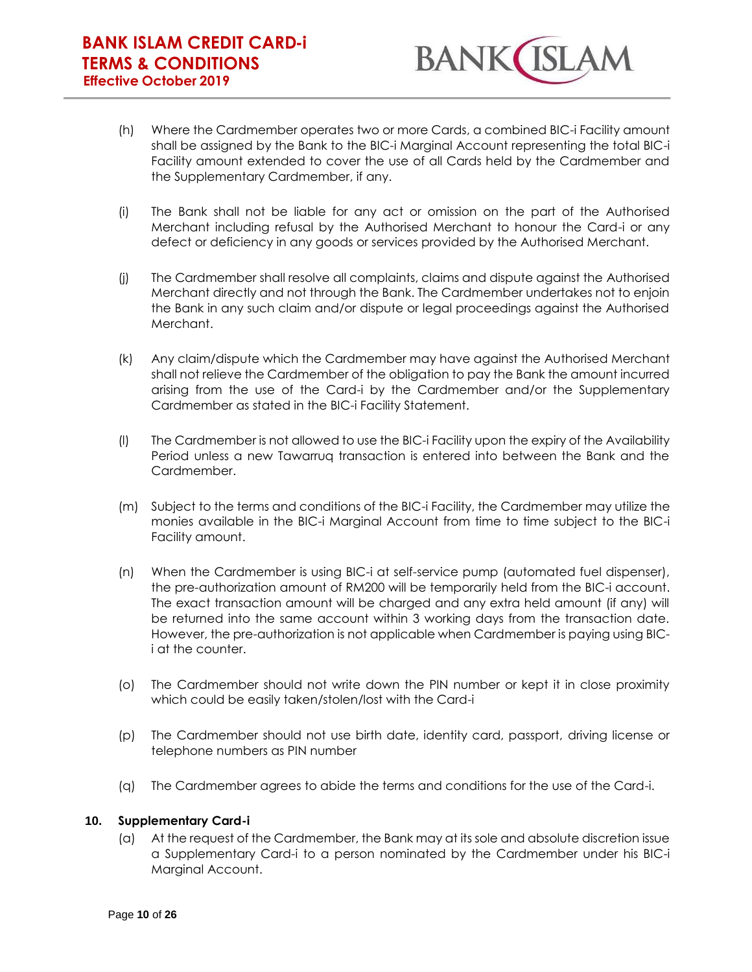

- (h) Where the Cardmember operates two or more Cards, a combined BIC-i Facility amount shall be assigned by the Bank to the BIC-i Marginal Account representing the total BIC-i Facility amount extended to cover the use of all Cards held by the Cardmember and the Supplementary Cardmember, if any.
- (i) The Bank shall not be liable for any act or omission on the part of the Authorised Merchant including refusal by the Authorised Merchant to honour the Card-i or any defect or deficiency in any goods or services provided by the Authorised Merchant.
- (j) The Cardmember shall resolve all complaints, claims and dispute against the Authorised Merchant directly and not through the Bank. The Cardmember undertakes not to enjoin the Bank in any such claim and/or dispute or legal proceedings against the Authorised Merchant.
- (k) Any claim/dispute which the Cardmember may have against the Authorised Merchant shall not relieve the Cardmember of the obligation to pay the Bank the amount incurred arising from the use of the Card-i by the Cardmember and/or the Supplementary Cardmember as stated in the BIC-i Facility Statement.
- (l) The Cardmember is not allowed to use the BIC-i Facility upon the expiry of the Availability Period unless a new Tawarruq transaction is entered into between the Bank and the Cardmember.
- (m) Subject to the terms and conditions of the BIC-i Facility, the Cardmember may utilize the monies available in the BIC-i Marginal Account from time to time subject to the BIC-i Facility amount.
- (n) When the Cardmember is using BIC-i at self-service pump (automated fuel dispenser), the pre-authorization amount of RM200 will be temporarily held from the BIC-i account. The exact transaction amount will be charged and any extra held amount (if any) will be returned into the same account within 3 working days from the transaction date. However, the pre-authorization is not applicable when Cardmember is paying using BICi at the counter.
- (o) The Cardmember should not write down the PIN number or kept it in close proximity which could be easily taken/stolen/lost with the Card-i
- (p) The Cardmember should not use birth date, identity card, passport, driving license or telephone numbers as PIN number
- (q) The Cardmember agrees to abide the terms and conditions for the use of the Card-i.

# **10. Supplementary Card-i**

(a) At the request of the Cardmember, the Bank may at its sole and absolute discretion issue a Supplementary Card-i to a person nominated by the Cardmember under his BIC-i Marginal Account.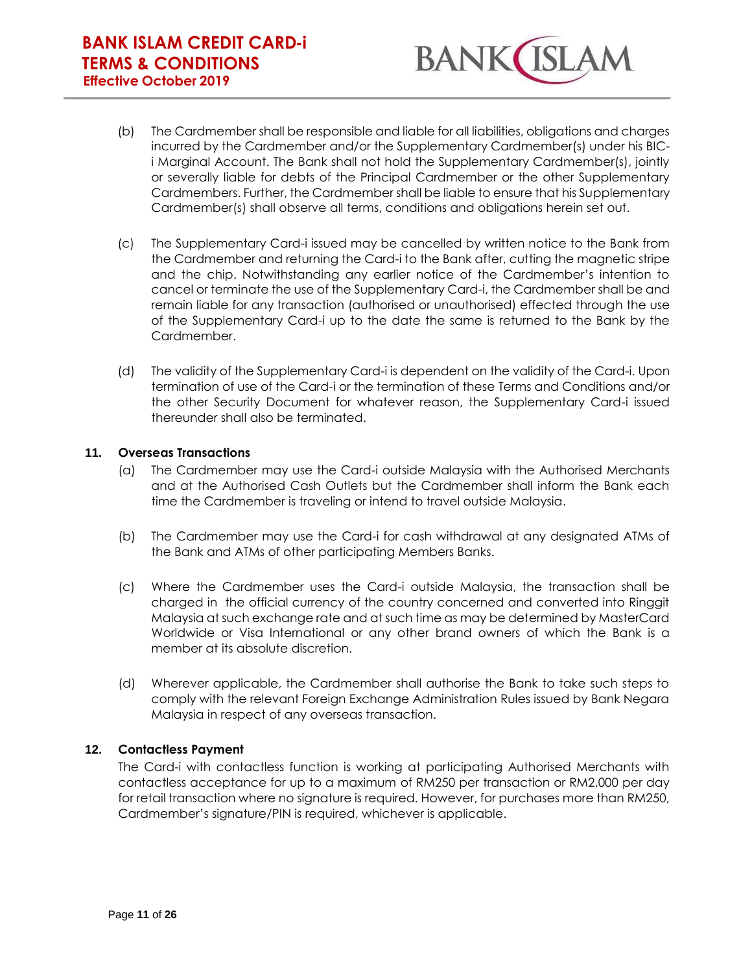

- (b) The Cardmember shall be responsible and liable for all liabilities, obligations and charges incurred by the Cardmember and/or the Supplementary Cardmember(s) under his BICi Marginal Account. The Bank shall not hold the Supplementary Cardmember(s), jointly or severally liable for debts of the Principal Cardmember or the other Supplementary Cardmembers. Further, the Cardmember shall be liable to ensure that his Supplementary Cardmember(s) shall observe all terms, conditions and obligations herein set out.
- (c) The Supplementary Card-i issued may be cancelled by written notice to the Bank from the Cardmember and returning the Card-i to the Bank after, cutting the magnetic stripe and the chip. Notwithstanding any earlier notice of the Cardmember's intention to cancel or terminate the use of the Supplementary Card-i, the Cardmember shall be and remain liable for any transaction (authorised or unauthorised) effected through the use of the Supplementary Card-i up to the date the same is returned to the Bank by the Cardmember.
- (d) The validity of the Supplementary Card-i is dependent on the validity of the Card-i. Upon termination of use of the Card-i or the termination of these Terms and Conditions and/or the other Security Document for whatever reason, the Supplementary Card-i issued thereunder shall also be terminated.

# **11. Overseas Transactions**

- (a) The Cardmember may use the Card-i outside Malaysia with the Authorised Merchants and at the Authorised Cash Outlets but the Cardmember shall inform the Bank each time the Cardmember is traveling or intend to travel outside Malaysia.
- (b) The Cardmember may use the Card-i for cash withdrawal at any designated ATMs of the Bank and ATMs of other participating Members Banks.
- (c) Where the Cardmember uses the Card-i outside Malaysia, the transaction shall be charged in the official currency of the country concerned and converted into Ringgit Malaysia at such exchange rate and at such time as may be determined by MasterCard Worldwide or Visa International or any other brand owners of which the Bank is a member at its absolute discretion.
- (d) Wherever applicable, the Cardmember shall authorise the Bank to take such steps to comply with the relevant Foreign Exchange Administration Rules issued by Bank Negara Malaysia in respect of any overseas transaction.

# **12. Contactless Payment**

The Card-i with contactless function is working at participating Authorised Merchants with contactless acceptance for up to a maximum of RM250 per transaction or RM2,000 per day for retail transaction where no signature is required. However, for purchases more than RM250, Cardmember's signature/PIN is required, whichever is applicable.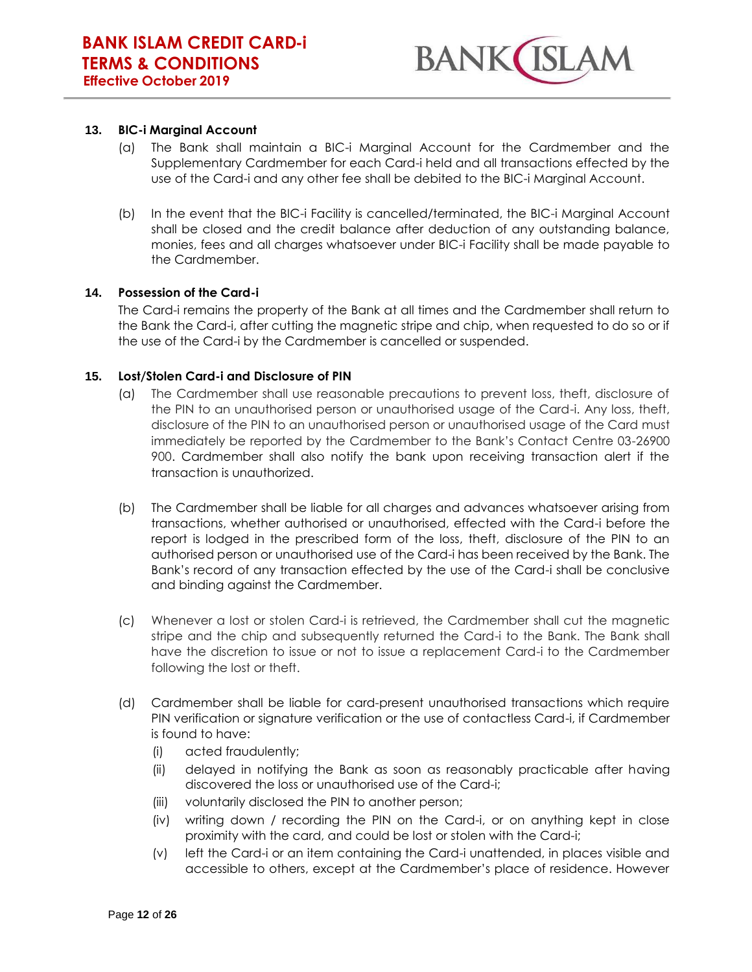

### **13. BIC-i Marginal Account**

- (a) The Bank shall maintain a BIC-i Marginal Account for the Cardmember and the Supplementary Cardmember for each Card-i held and all transactions effected by the use of the Card-i and any other fee shall be debited to the BIC-i Marginal Account.
- (b) In the event that the BIC-i Facility is cancelled/terminated, the BIC-i Marginal Account shall be closed and the credit balance after deduction of any outstanding balance, monies, fees and all charges whatsoever under BIC-i Facility shall be made payable to the Cardmember.

### **14. Possession of the Card-i**

The Card-i remains the property of the Bank at all times and the Cardmember shall return to the Bank the Card-i, after cutting the magnetic stripe and chip, when requested to do so or if the use of the Card-i by the Cardmember is cancelled or suspended.

### **15. Lost/Stolen Card-i and Disclosure of PIN**

- (a) The Cardmember shall use reasonable precautions to prevent loss, theft, disclosure of the PIN to an unauthorised person or unauthorised usage of the Card-i. Any loss, theft, disclosure of the PIN to an unauthorised person or unauthorised usage of the Card must immediately be reported by the Cardmember to the Bank's Contact Centre 03-26900 900. Cardmember shall also notify the bank upon receiving transaction alert if the transaction is unauthorized.
- (b) The Cardmember shall be liable for all charges and advances whatsoever arising from transactions, whether authorised or unauthorised, effected with the Card-i before the report is lodged in the prescribed form of the loss, theft, disclosure of the PIN to an authorised person or unauthorised use of the Card-i has been received by the Bank. The Bank's record of any transaction effected by the use of the Card-i shall be conclusive and binding against the Cardmember.
- (c) Whenever a lost or stolen Card-i is retrieved, the Cardmember shall cut the magnetic stripe and the chip and subsequently returned the Card-i to the Bank. The Bank shall have the discretion to issue or not to issue a replacement Card-i to the Cardmember following the lost or theft.
- (d) Cardmember shall be liable for card-present unauthorised transactions which require PIN verification or signature verification or the use of contactless Card-i, if Cardmember is found to have:
	- (i) acted fraudulently;
	- (ii) delayed in notifying the Bank as soon as reasonably practicable after having discovered the loss or unauthorised use of the Card-i;
	- (iii) voluntarily disclosed the PIN to another person;
	- (iv) writing down / recording the PIN on the Card-i, or on anything kept in close proximity with the card, and could be lost or stolen with the Card-i;
	- (v) left the Card-i or an item containing the Card-i unattended, in places visible and accessible to others, except at the Cardmember's place of residence. However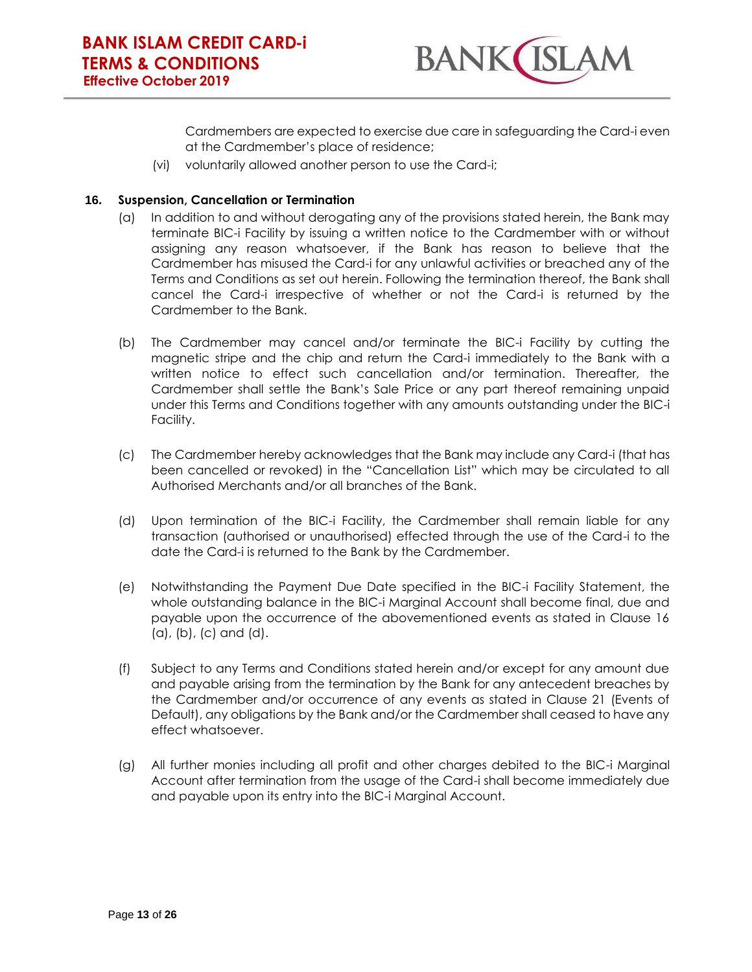

Cardmembers are expected to exercise due care in safeguarding the Card-i even at the Cardmember's place of residence;

(vi) voluntarily allowed another person to use the Card-i;

# **16. Suspension, Cancellation or Termination**

- (a) In addition to and without derogating any of the provisions stated herein, the Bank may terminate BIC-i Facility by issuing a written notice to the Cardmember with or without assigning any reason whatsoever, if the Bank has reason to believe that the Cardmember has misused the Card-i for any unlawful activities or breached any of the Terms and Conditions as set out herein. Following the termination thereof, the Bank shall cancel the Card-i irrespective of whether or not the Card-i is returned by the Cardmember to the Bank.
- (b) The Cardmember may cancel and/or terminate the BIC-i Facility by cutting the magnetic stripe and the chip and return the Card-i immediately to the Bank with a written notice to effect such cancellation and/or termination. Thereafter, the Cardmember shall settle the Bank's Sale Price or any part thereof remaining unpaid under this Terms and Conditions together with any amounts outstanding under the BIC-i Facility.
- (c) The Cardmember hereby acknowledges that the Bank may include any Card-i (that has been cancelled or revoked) in the "Cancellation List" which may be circulated to all Authorised Merchants and/or all branches of the Bank.
- (d) Upon termination of the BIC-i Facility, the Cardmember shall remain liable for any transaction (authorised or unauthorised) effected through the use of the Card-i to the date the Card-i is returned to the Bank by the Cardmember.
- (e) Notwithstanding the Payment Due Date specified in the BIC-i Facility Statement, the whole outstanding balance in the BIC-i Marginal Account shall become final, due and payable upon the occurrence of the abovementioned events as stated in Clause 16 (a), (b), (c) and (d).
- (f) Subject to any Terms and Conditions stated herein and/or except for any amount due and payable arising from the termination by the Bank for any antecedent breaches by the Cardmember and/or occurrence of any events as stated in Clause 21 (Events of Default), any obligations by the Bank and/or the Cardmember shall ceased to have any effect whatsoever.
- (g) All further monies including all profit and other charges debited to the BIC-i Marginal Account after termination from the usage of the Card-i shall become immediately due and payable upon its entry into the BIC-i Marginal Account.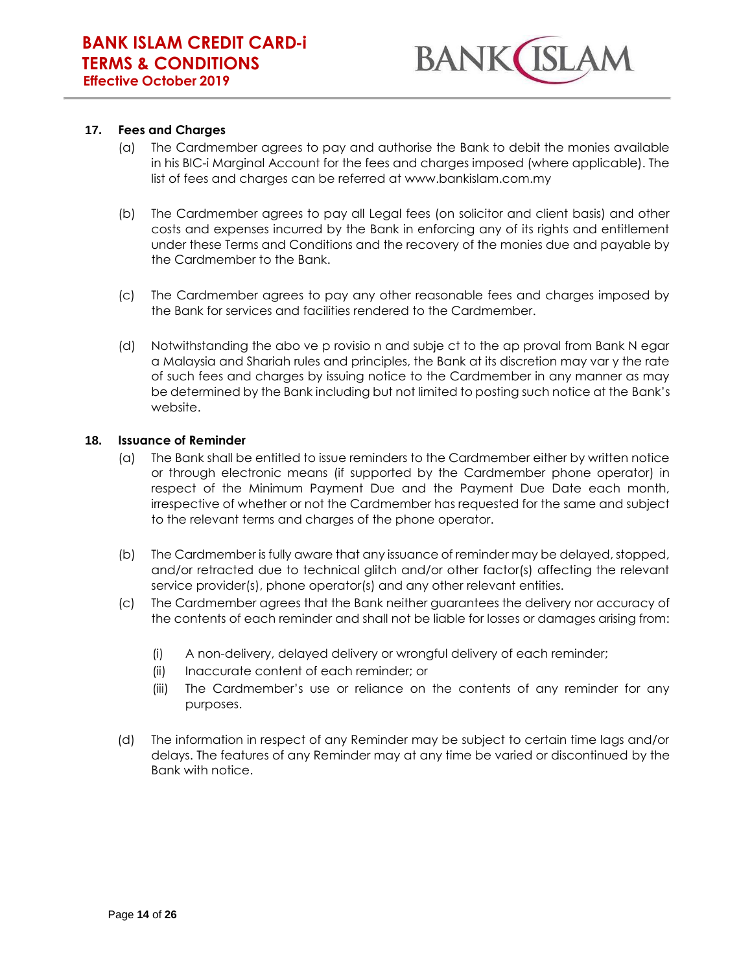

### **17. Fees and Charges**

- (a) The Cardmember agrees to pay and authorise the Bank to debit the monies available in his BIC-i Marginal Account for the fees and charges imposed (where applicable). The list of fees and charges can be referred at www.bankislam.com.my
- (b) The Cardmember agrees to pay all Legal fees (on solicitor and client basis) and other costs and expenses incurred by the Bank in enforcing any of its rights and entitlement under these Terms and Conditions and the recovery of the monies due and payable by the Cardmember to the Bank.
- (c) The Cardmember agrees to pay any other reasonable fees and charges imposed by the Bank for services and facilities rendered to the Cardmember.
- (d) Notwithstanding the abo ve p rovisio n and subje ct to the ap proval from Bank N egar a Malaysia and Shariah rules and principles, the Bank at its discretion may var y the rate of such fees and charges by issuing notice to the Cardmember in any manner as may be determined by the Bank including but not limited to posting such notice at the Bank's website.

#### **18. Issuance of Reminder**

- (a) The Bank shall be entitled to issue reminders to the Cardmember either by written notice or through electronic means (if supported by the Cardmember phone operator) in respect of the Minimum Payment Due and the Payment Due Date each month, irrespective of whether or not the Cardmember has requested for the same and subject to the relevant terms and charges of the phone operator.
- (b) The Cardmember is fully aware that any issuance of reminder may be delayed, stopped, and/or retracted due to technical glitch and/or other factor(s) affecting the relevant service provider(s), phone operator(s) and any other relevant entities.
- (c) The Cardmember agrees that the Bank neither guarantees the delivery nor accuracy of the contents of each reminder and shall not be liable for losses or damages arising from:
	- (i) A non-delivery, delayed delivery or wrongful delivery of each reminder;
	- (ii) Inaccurate content of each reminder; or
	- (iii) The Cardmember's use or reliance on the contents of any reminder for any purposes.
- (d) The information in respect of any Reminder may be subject to certain time lags and/or delays. The features of any Reminder may at any time be varied or discontinued by the Bank with notice.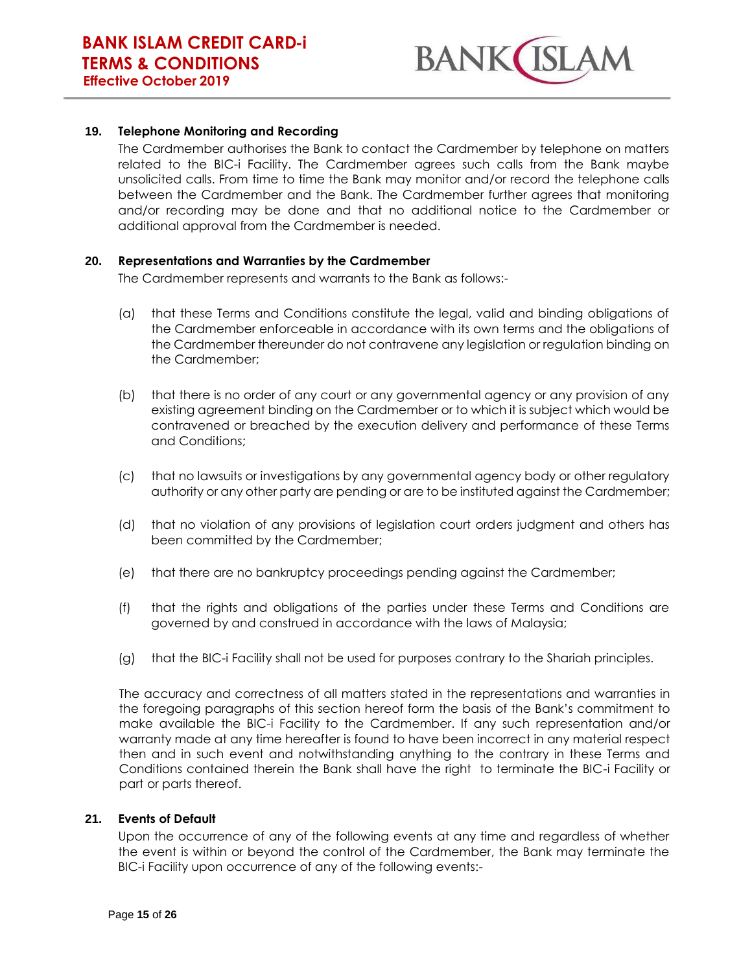

### **19. Telephone Monitoring and Recording**

The Cardmember authorises the Bank to contact the Cardmember by telephone on matters related to the BIC-i Facility. The Cardmember agrees such calls from the Bank maybe unsolicited calls. From time to time the Bank may monitor and/or record the telephone calls between the Cardmember and the Bank. The Cardmember further agrees that monitoring and/or recording may be done and that no additional notice to the Cardmember or additional approval from the Cardmember is needed.

### **20. Representations and Warranties by the Cardmember**

The Cardmember represents and warrants to the Bank as follows:-

- (a) that these Terms and Conditions constitute the legal, valid and binding obligations of the Cardmember enforceable in accordance with its own terms and the obligations of the Cardmember thereunder do not contravene any legislation or regulation binding on the Cardmember;
- (b) that there is no order of any court or any governmental agency or any provision of any existing agreement binding on the Cardmember or to which it is subject which would be contravened or breached by the execution delivery and performance of these Terms and Conditions;
- (c) that no lawsuits or investigations by any governmental agency body or other regulatory authority or any other party are pending or are to be instituted against the Cardmember;
- (d) that no violation of any provisions of legislation court orders judgment and others has been committed by the Cardmember;
- (e) that there are no bankruptcy proceedings pending against the Cardmember;
- (f) that the rights and obligations of the parties under these Terms and Conditions are governed by and construed in accordance with the laws of Malaysia;
- (g) that the BIC-i Facility shall not be used for purposes contrary to the Shariah principles.

The accuracy and correctness of all matters stated in the representations and warranties in the foregoing paragraphs of this section hereof form the basis of the Bank's commitment to make available the BIC-i Facility to the Cardmember. If any such representation and/or warranty made at any time hereafter is found to have been incorrect in any material respect then and in such event and notwithstanding anything to the contrary in these Terms and Conditions contained therein the Bank shall have the right to terminate the BIC-i Facility or part or parts thereof.

#### **21. Events of Default**

Upon the occurrence of any of the following events at any time and regardless of whether the event is within or beyond the control of the Cardmember, the Bank may terminate the BIC-i Facility upon occurrence of any of the following events:-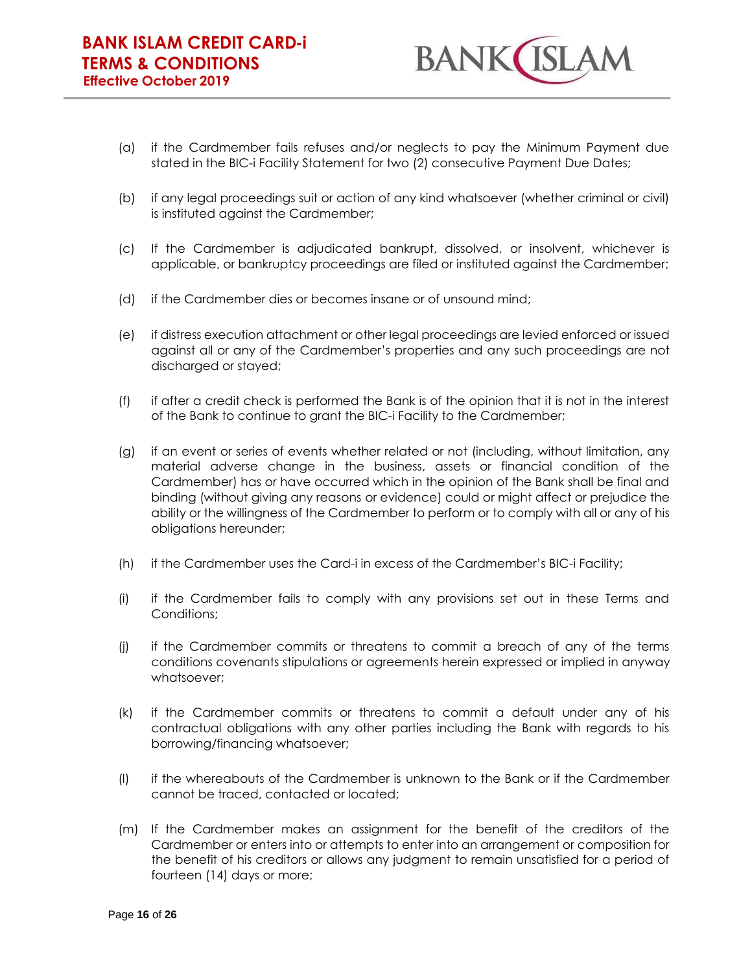

- (a) if the Cardmember fails refuses and/or neglects to pay the Minimum Payment due stated in the BIC-i Facility Statement for two (2) consecutive Payment Due Dates;
- (b) if any legal proceedings suit or action of any kind whatsoever (whether criminal or civil) is instituted against the Cardmember;
- (c) If the Cardmember is adjudicated bankrupt, dissolved, or insolvent, whichever is applicable, or bankruptcy proceedings are filed or instituted against the Cardmember;
- (d) if the Cardmember dies or becomes insane or of unsound mind;
- (e) if distress execution attachment or other legal proceedings are levied enforced or issued against all or any of the Cardmember's properties and any such proceedings are not discharged or stayed;
- (f) if after a credit check is performed the Bank is of the opinion that it is not in the interest of the Bank to continue to grant the BIC-i Facility to the Cardmember;
- (g) if an event or series of events whether related or not (including, without limitation, any material adverse change in the business, assets or financial condition of the Cardmember) has or have occurred which in the opinion of the Bank shall be final and binding (without giving any reasons or evidence) could or might affect or prejudice the ability or the willingness of the Cardmember to perform or to comply with all or any of his obligations hereunder;
- (h) if the Cardmember uses the Card-i in excess of the Cardmember's BIC-i Facility;
- (i) if the Cardmember fails to comply with any provisions set out in these Terms and Conditions;
- (j) if the Cardmember commits or threatens to commit a breach of any of the terms conditions covenants stipulations or agreements herein expressed or implied in anyway whatsoever:
- (k) if the Cardmember commits or threatens to commit a default under any of his contractual obligations with any other parties including the Bank with regards to his borrowing/financing whatsoever;
- (l) if the whereabouts of the Cardmember is unknown to the Bank or if the Cardmember cannot be traced, contacted or located;
- (m) If the Cardmember makes an assignment for the benefit of the creditors of the Cardmember or enters into or attempts to enter into an arrangement or composition for the benefit of his creditors or allows any judgment to remain unsatisfied for a period of fourteen (14) days or more;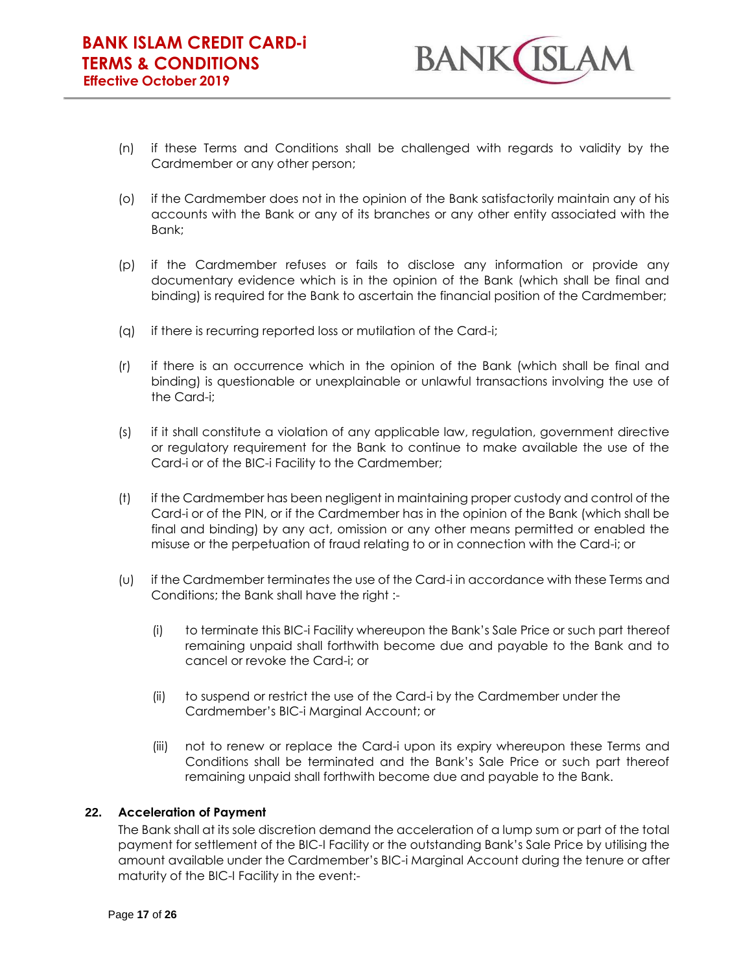

- (n) if these Terms and Conditions shall be challenged with regards to validity by the Cardmember or any other person;
- (o) if the Cardmember does not in the opinion of the Bank satisfactorily maintain any of his accounts with the Bank or any of its branches or any other entity associated with the Bank;
- (p) if the Cardmember refuses or fails to disclose any information or provide any documentary evidence which is in the opinion of the Bank (which shall be final and binding) is required for the Bank to ascertain the financial position of the Cardmember;
- (q) if there is recurring reported loss or mutilation of the Card-i;
- (r) if there is an occurrence which in the opinion of the Bank (which shall be final and binding) is questionable or unexplainable or unlawful transactions involving the use of the Card-i;
- (s) if it shall constitute a violation of any applicable law, regulation, government directive or regulatory requirement for the Bank to continue to make available the use of the Card-i or of the BIC-i Facility to the Cardmember;
- (t) if the Cardmember has been negligent in maintaining proper custody and control of the Card-i or of the PIN, or if the Cardmember has in the opinion of the Bank (which shall be final and binding) by any act, omission or any other means permitted or enabled the misuse or the perpetuation of fraud relating to or in connection with the Card-i; or
- (u) if the Cardmember terminates the use of the Card-i in accordance with these Terms and Conditions; the Bank shall have the right :-
	- (i) to terminate this BIC-i Facility whereupon the Bank's Sale Price or such part thereof remaining unpaid shall forthwith become due and payable to the Bank and to cancel or revoke the Card-i; or
	- (ii) to suspend or restrict the use of the Card-i by the Cardmember under the Cardmember's BIC-i Marginal Account; or
	- (iii) not to renew or replace the Card-i upon its expiry whereupon these Terms and Conditions shall be terminated and the Bank's Sale Price or such part thereof remaining unpaid shall forthwith become due and payable to the Bank.

#### **22. Acceleration of Payment**

The Bank shall at its sole discretion demand the acceleration of a lump sum or part of the total payment for settlement of the BIC-I Facility or the outstanding Bank's Sale Price by utilising the amount available under the Cardmember's BIC-i Marginal Account during the tenure or after maturity of the BIC-I Facility in the event:-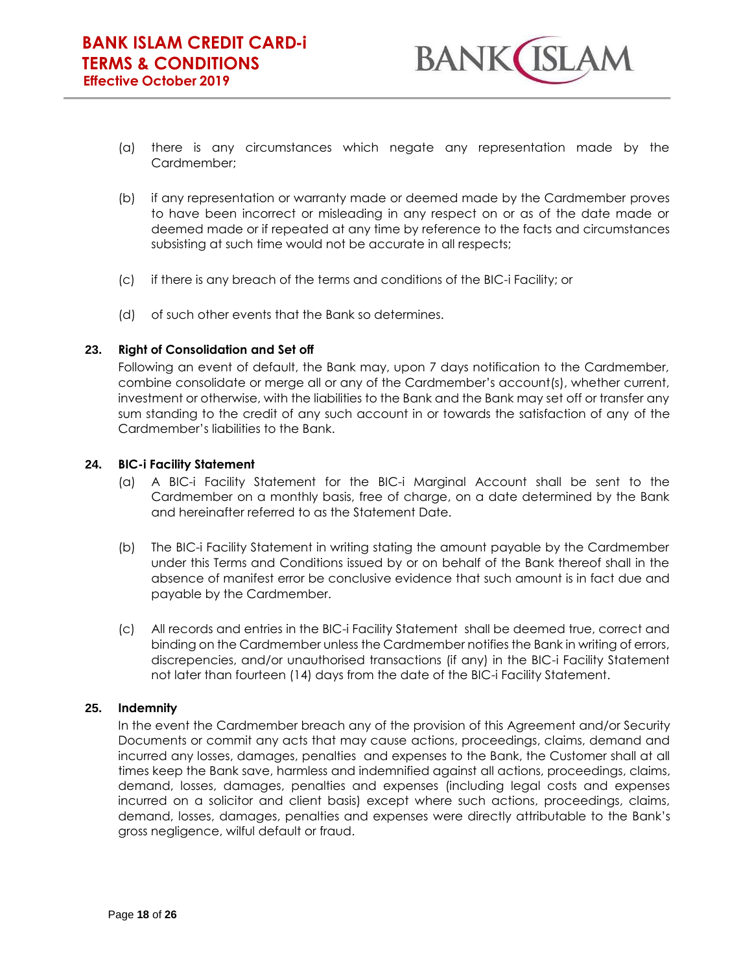

- (a) there is any circumstances which negate any representation made by the Cardmember;
- (b) if any representation or warranty made or deemed made by the Cardmember proves to have been incorrect or misleading in any respect on or as of the date made or deemed made or if repeated at any time by reference to the facts and circumstances subsisting at such time would not be accurate in all respects;
- (c) if there is any breach of the terms and conditions of the BIC-i Facility; or
- (d) of such other events that the Bank so determines.

### **23. Right of Consolidation and Set off**

Following an event of default, the Bank may, upon 7 days notification to the Cardmember, combine consolidate or merge all or any of the Cardmember's account(s), whether current, investment or otherwise, with the liabilities to the Bank and the Bank may set off or transfer any sum standing to the credit of any such account in or towards the satisfaction of any of the Cardmember's liabilities to the Bank.

### **24. BIC-i Facility Statement**

- (a) A BIC-i Facility Statement for the BIC-i Marginal Account shall be sent to the Cardmember on a monthly basis, free of charge, on a date determined by the Bank and hereinafter referred to as the Statement Date.
- (b) The BIC-i Facility Statement in writing stating the amount payable by the Cardmember under this Terms and Conditions issued by or on behalf of the Bank thereof shall in the absence of manifest error be conclusive evidence that such amount is in fact due and payable by the Cardmember.
- (c) All records and entries in the BIC-i Facility Statement shall be deemed true, correct and binding on the Cardmember unless the Cardmember notifies the Bank in writing of errors, discrepencies, and/or unauthorised transactions (if any) in the BIC-i Facility Statement not later than fourteen (14) days from the date of the BIC-i Facility Statement.

#### **25. Indemnity**

In the event the Cardmember breach any of the provision of this Agreement and/or Security Documents or commit any acts that may cause actions, proceedings, claims, demand and incurred any losses, damages, penalties and expenses to the Bank, the Customer shall at all times keep the Bank save, harmless and indemnified against all actions, proceedings, claims, demand, losses, damages, penalties and expenses (including legal costs and expenses incurred on a solicitor and client basis) except where such actions, proceedings, claims, demand, losses, damages, penalties and expenses were directly attributable to the Bank's gross negligence, wilful default or fraud.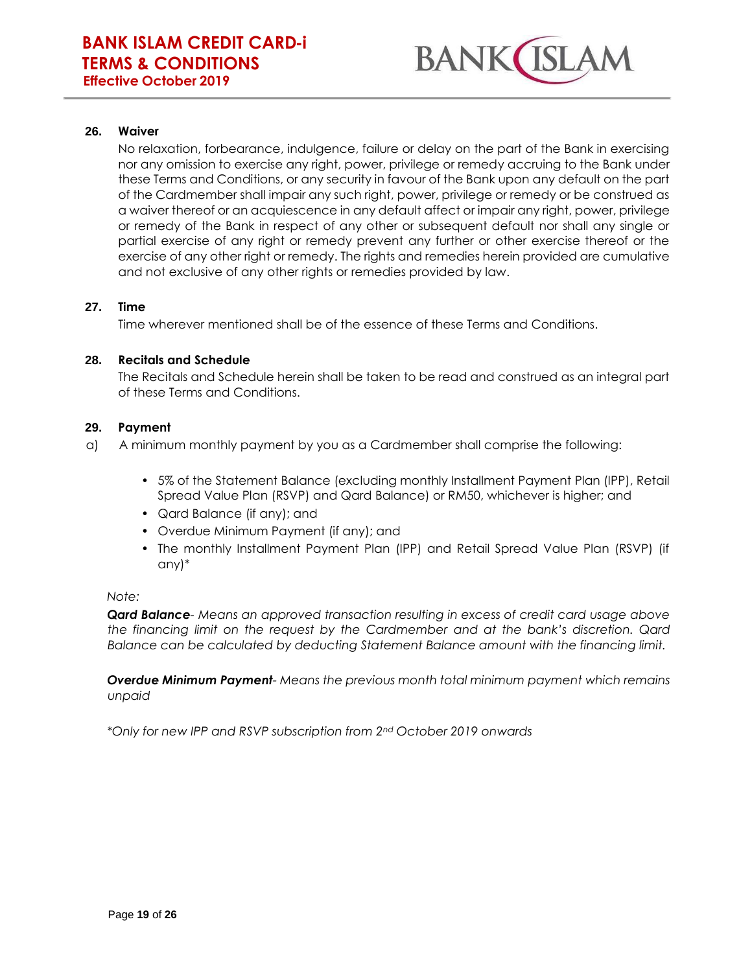

# **26. Waiver**

No relaxation, forbearance, indulgence, failure or delay on the part of the Bank in exercising nor any omission to exercise any right, power, privilege or remedy accruing to the Bank under these Terms and Conditions, or any security in favour of the Bank upon any default on the part of the Cardmember shall impair any such right, power, privilege or remedy or be construed as a waiver thereof or an acquiescence in any default affect or impair any right, power, privilege or remedy of the Bank in respect of any other or subsequent default nor shall any single or partial exercise of any right or remedy prevent any further or other exercise thereof or the exercise of any other right or remedy. The rights and remedies herein provided are cumulative and not exclusive of any other rights or remedies provided by law.

### **27. Time**

Time wherever mentioned shall be of the essence of these Terms and Conditions.

### **28. Recitals and Schedule**

The Recitals and Schedule herein shall be taken to be read and construed as an integral part of these Terms and Conditions.

### **29. Payment**

a) A minimum monthly payment by you as a Cardmember shall comprise the following:

- 5% of the Statement Balance (excluding monthly Installment Payment Plan (IPP), Retail Spread Value Plan (RSVP) and Qard Balance) or RM50, whichever is higher; and
- Qard Balance (if any); and
- Overdue Minimum Payment (if any); and
- The monthly Installment Payment Plan (IPP) and Retail Spread Value Plan (RSVP) (if any)\*

#### *Note:*

*Qard Balance- Means an approved transaction resulting in excess of credit card usage above the financing limit on the request by the Cardmember and at the bank's discretion. Qard Balance can be calculated by deducting Statement Balance amount with the financing limit.* 

*Overdue Minimum Payment- Means the previous month total minimum payment which remains unpaid* 

*\*Only for new IPP and RSVP subscription from 2nd October 2019 onwards*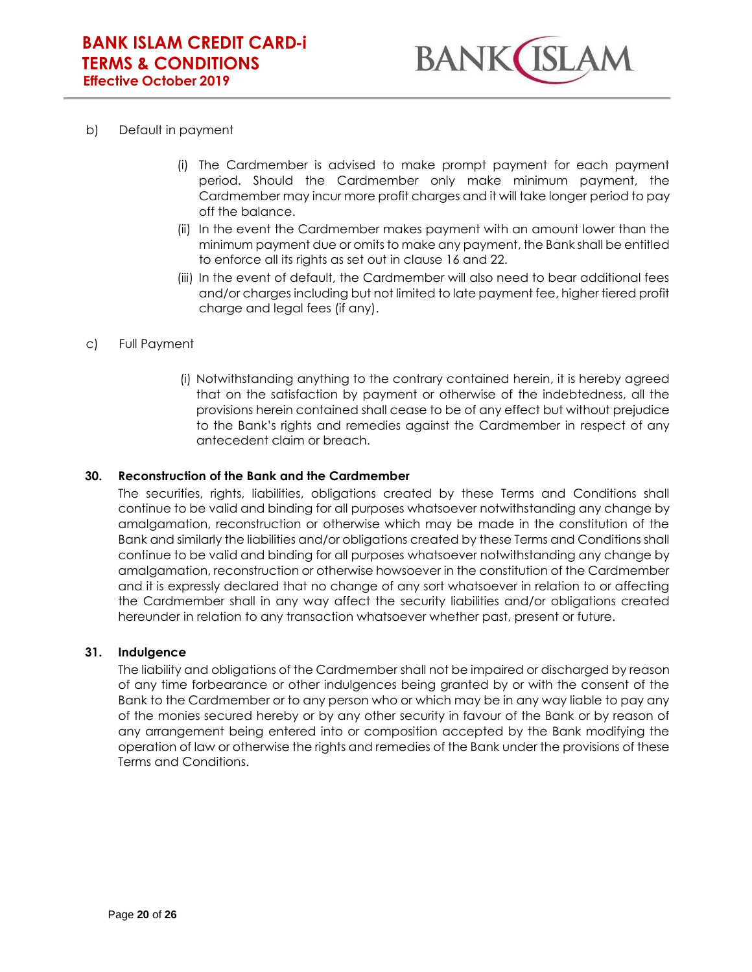

### b) Default in payment

- (i) The Cardmember is advised to make prompt payment for each payment period. Should the Cardmember only make minimum payment, the Cardmember may incur more profit charges and it will take longer period to pay off the balance.
- (ii) In the event the Cardmember makes payment with an amount lower than the minimum payment due or omits to make any payment, the Bank shall be entitled to enforce all its rights as set out in clause 16 and 22.
- (iii) In the event of default, the Cardmember will also need to bear additional fees and/or charges including but not limited to late payment fee, higher tiered profit charge and legal fees (if any).
- c) Full Payment
	- (i) Notwithstanding anything to the contrary contained herein, it is hereby agreed that on the satisfaction by payment or otherwise of the indebtedness, all the provisions herein contained shall cease to be of any effect but without prejudice to the Bank's rights and remedies against the Cardmember in respect of any antecedent claim or breach.

### **30. Reconstruction of the Bank and the Cardmember**

The securities, rights, liabilities, obligations created by these Terms and Conditions shall continue to be valid and binding for all purposes whatsoever notwithstanding any change by amalgamation, reconstruction or otherwise which may be made in the constitution of the Bank and similarly the liabilities and/or obligations created by these Terms and Conditions shall continue to be valid and binding for all purposes whatsoever notwithstanding any change by amalgamation, reconstruction or otherwise howsoever in the constitution of the Cardmember and it is expressly declared that no change of any sort whatsoever in relation to or affecting the Cardmember shall in any way affect the security liabilities and/or obligations created hereunder in relation to any transaction whatsoever whether past, present or future.

#### **31. Indulgence**

The liability and obligations of the Cardmember shall not be impaired or discharged by reason of any time forbearance or other indulgences being granted by or with the consent of the Bank to the Cardmember or to any person who or which may be in any way liable to pay any of the monies secured hereby or by any other security in favour of the Bank or by reason of any arrangement being entered into or composition accepted by the Bank modifying the operation of law or otherwise the rights and remedies of the Bank under the provisions of these Terms and Conditions.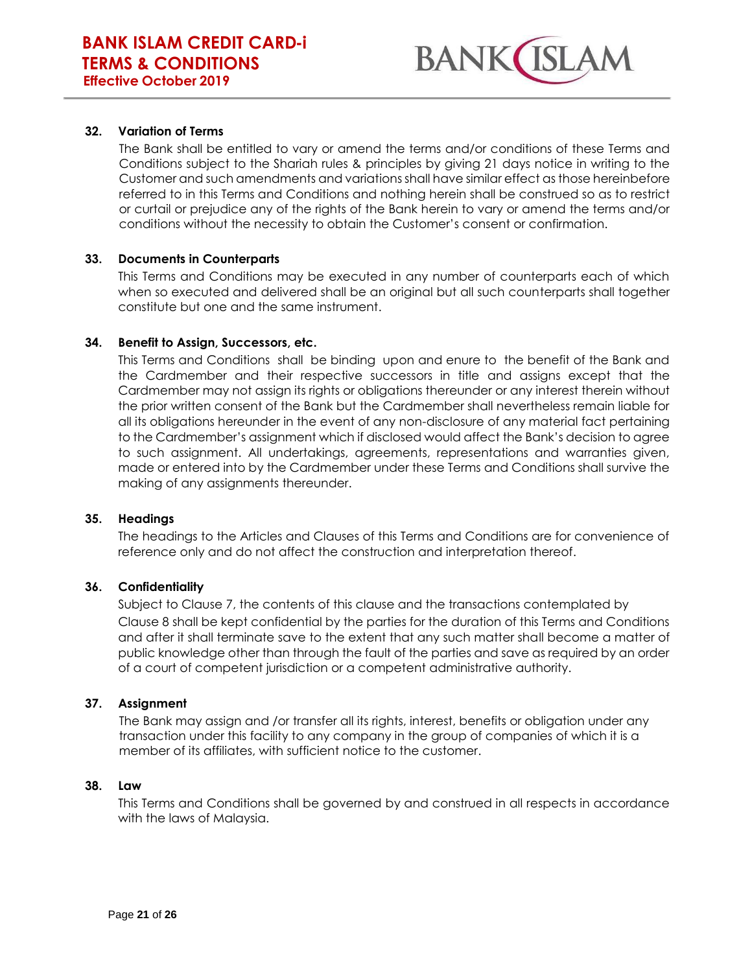

# **32. Variation of Terms**

The Bank shall be entitled to vary or amend the terms and/or conditions of these Terms and Conditions subject to the Shariah rules & principles by giving 21 days notice in writing to the Customer and such amendments and variations shall have similar effect as those hereinbefore referred to in this Terms and Conditions and nothing herein shall be construed so as to restrict or curtail or prejudice any of the rights of the Bank herein to vary or amend the terms and/or conditions without the necessity to obtain the Customer's consent or confirmation.

# **33. Documents in Counterparts**

This Terms and Conditions may be executed in any number of counterparts each of which when so executed and delivered shall be an original but all such counterparts shall together constitute but one and the same instrument.

### **34. Benefit to Assign, Successors, etc.**

This Terms and Conditions shall be binding upon and enure to the benefit of the Bank and the Cardmember and their respective successors in title and assigns except that the Cardmember may not assign its rights or obligations thereunder or any interest therein without the prior written consent of the Bank but the Cardmember shall nevertheless remain liable for all its obligations hereunder in the event of any non-disclosure of any material fact pertaining to the Cardmember's assignment which if disclosed would affect the Bank's decision to agree to such assignment. All undertakings, agreements, representations and warranties given, made or entered into by the Cardmember under these Terms and Conditions shall survive the making of any assignments thereunder.

#### **35. Headings**

The headings to the Articles and Clauses of this Terms and Conditions are for convenience of reference only and do not affect the construction and interpretation thereof.

# **36. Confidentiality**

Subject to Clause 7, the contents of this clause and the transactions contemplated by Clause 8 shall be kept confidential by the parties for the duration of this Terms and Conditions and after it shall terminate save to the extent that any such matter shall become a matter of public knowledge other than through the fault of the parties and save as required by an order of a court of competent jurisdiction or a competent administrative authority.

#### **37. Assignment**

The Bank may assign and /or transfer all its rights, interest, benefits or obligation under any transaction under this facility to any company in the group of companies of which it is a member of its affiliates, with sufficient notice to the customer.

#### **38. Law**

This Terms and Conditions shall be governed by and construed in all respects in accordance with the laws of Malaysia.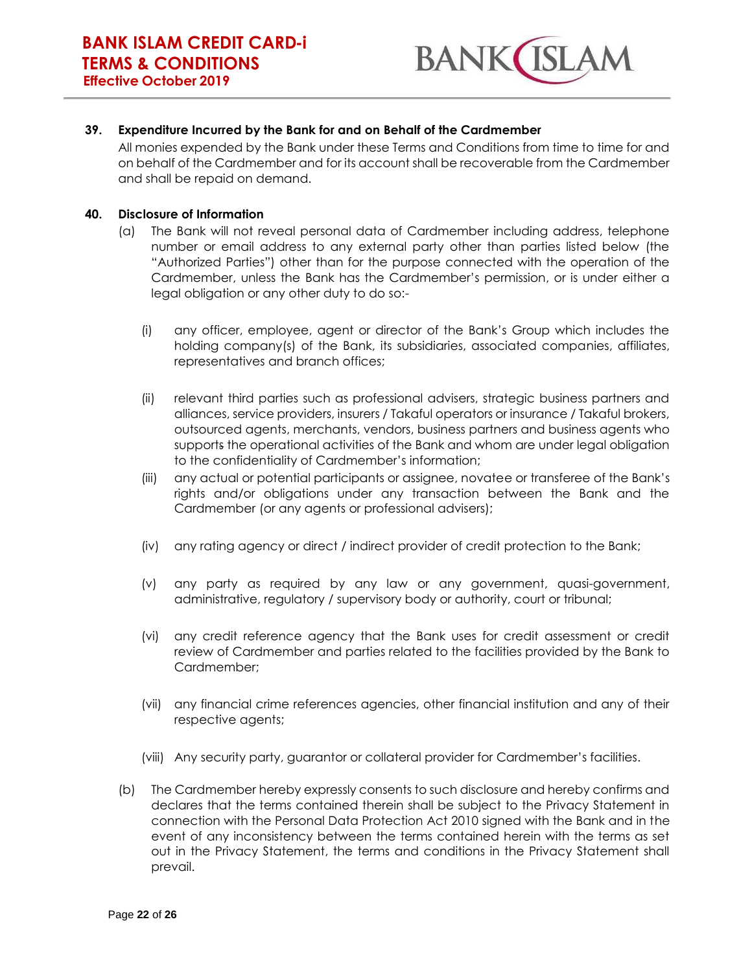

### **39. Expenditure Incurred by the Bank for and on Behalf of the Cardmember**

All monies expended by the Bank under these Terms and Conditions from time to time for and on behalf of the Cardmember and for its account shall be recoverable from the Cardmember and shall be repaid on demand.

#### **40. Disclosure of Information**

- (a) The Bank will not reveal personal data of Cardmember including address, telephone number or email address to any external party other than parties listed below (the "Authorized Parties") other than for the purpose connected with the operation of the Cardmember, unless the Bank has the Cardmember's permission, or is under either a legal obligation or any other duty to do so:-
	- (i) any officer, employee, agent or director of the Bank's Group which includes the holding company(s) of the Bank, its subsidiaries, associated companies, affiliates, representatives and branch offices;
	- (ii) relevant third parties such as professional advisers, strategic business partners and alliances, service providers, insurers / Takaful operators or insurance / Takaful brokers, outsourced agents, merchants, vendors, business partners and business agents who supports the operational activities of the Bank and whom are under legal obligation to the confidentiality of Cardmember's information;
	- (iii) any actual or potential participants or assignee, novatee or transferee of the Bank's rights and/or obligations under any transaction between the Bank and the Cardmember (or any agents or professional advisers);
	- (iv) any rating agency or direct / indirect provider of credit protection to the Bank;
	- (v) any party as required by any law or any government, quasi-government, administrative, regulatory / supervisory body or authority, court or tribunal;
	- (vi) any credit reference agency that the Bank uses for credit assessment or credit review of Cardmember and parties related to the facilities provided by the Bank to Cardmember;
	- (vii) any financial crime references agencies, other financial institution and any of their respective agents;
	- (viii) Any security party, guarantor or collateral provider for Cardmember's facilities.
- (b) The Cardmember hereby expressly consents to such disclosure and hereby confirms and declares that the terms contained therein shall be subject to the Privacy Statement in connection with the Personal Data Protection Act 2010 signed with the Bank and in the event of any inconsistency between the terms contained herein with the terms as set out in the Privacy Statement, the terms and conditions in the Privacy Statement shall prevail.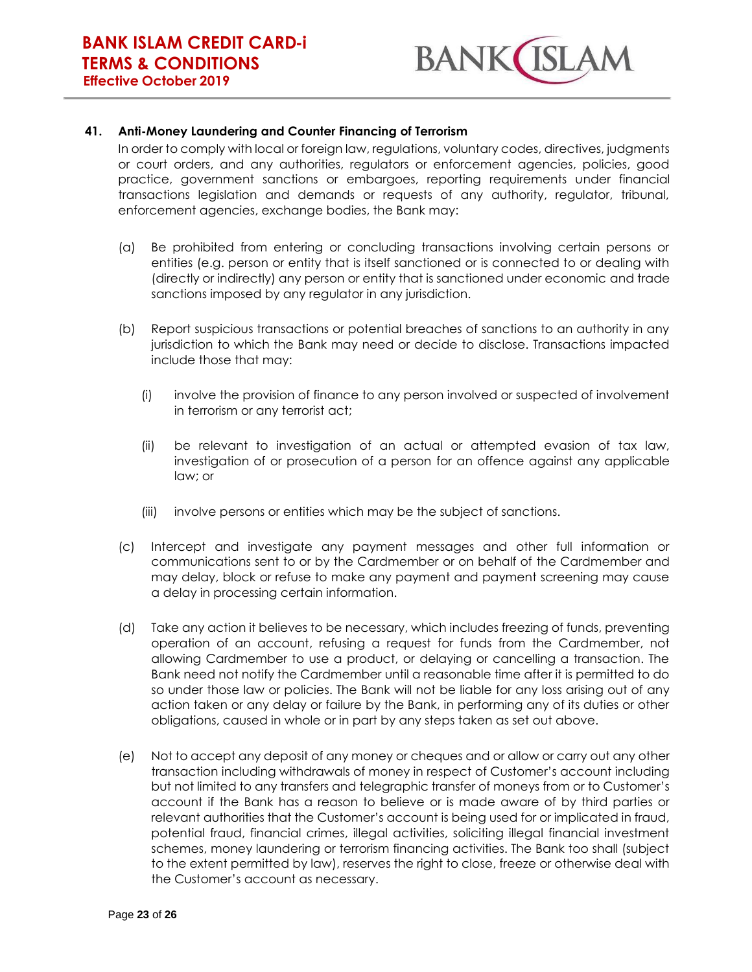

### **41. Anti-Money Laundering and Counter Financing of Terrorism**

In order to comply with local or foreign law, regulations, voluntary codes, directives, judgments or court orders, and any authorities, regulators or enforcement agencies, policies, good practice, government sanctions or embargoes, reporting requirements under financial transactions legislation and demands or requests of any authority, regulator, tribunal, enforcement agencies, exchange bodies, the Bank may:

- (a) Be prohibited from entering or concluding transactions involving certain persons or entities (e.g. person or entity that is itself sanctioned or is connected to or dealing with (directly or indirectly) any person or entity that is sanctioned under economic and trade sanctions imposed by any regulator in any jurisdiction.
- (b) Report suspicious transactions or potential breaches of sanctions to an authority in any jurisdiction to which the Bank may need or decide to disclose. Transactions impacted include those that may:
	- (i) involve the provision of finance to any person involved or suspected of involvement in terrorism or any terrorist act;
	- (ii) be relevant to investigation of an actual or attempted evasion of tax law, investigation of or prosecution of a person for an offence against any applicable law; or
	- (iii) involve persons or entities which may be the subject of sanctions.
- (c) Intercept and investigate any payment messages and other full information or communications sent to or by the Cardmember or on behalf of the Cardmember and may delay, block or refuse to make any payment and payment screening may cause a delay in processing certain information.
- (d) Take any action it believes to be necessary, which includes freezing of funds, preventing operation of an account, refusing a request for funds from the Cardmember, not allowing Cardmember to use a product, or delaying or cancelling a transaction. The Bank need not notify the Cardmember until a reasonable time after it is permitted to do so under those law or policies. The Bank will not be liable for any loss arising out of any action taken or any delay or failure by the Bank, in performing any of its duties or other obligations, caused in whole or in part by any steps taken as set out above.
- (e) Not to accept any deposit of any money or cheques and or allow or carry out any other transaction including withdrawals of money in respect of Customer's account including but not limited to any transfers and telegraphic transfer of moneys from or to Customer's account if the Bank has a reason to believe or is made aware of by third parties or relevant authorities that the Customer's account is being used for or implicated in fraud, potential fraud, financial crimes, illegal activities, soliciting illegal financial investment schemes, money laundering or terrorism financing activities. The Bank too shall (subject to the extent permitted by law), reserves the right to close, freeze or otherwise deal with the Customer's account as necessary.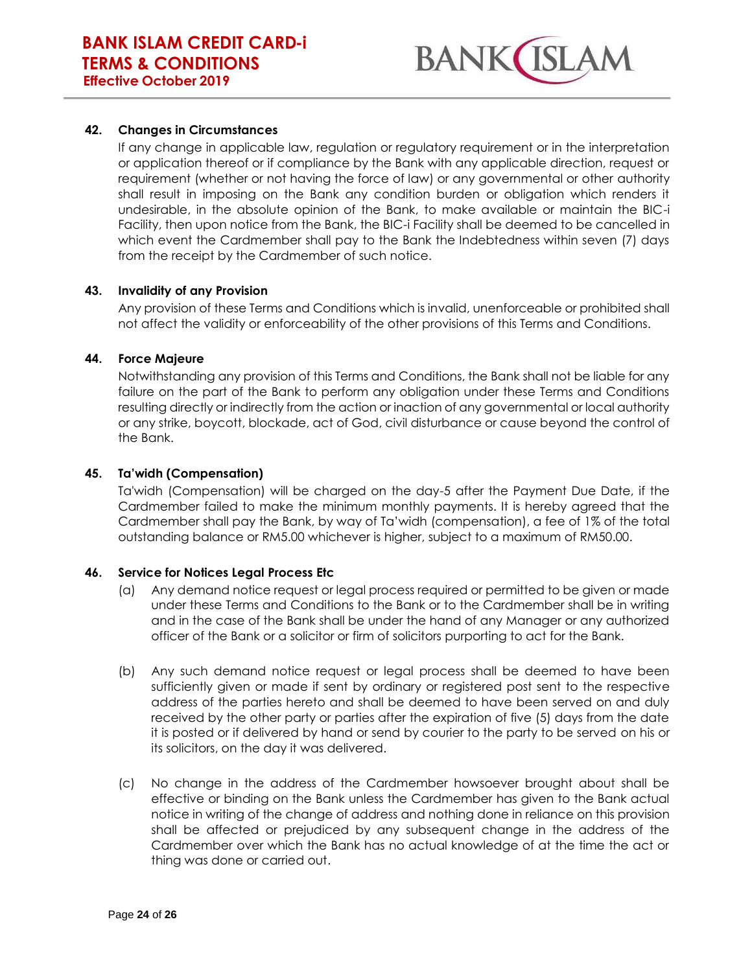

### **42. Changes in Circumstances**

If any change in applicable law, regulation or regulatory requirement or in the interpretation or application thereof or if compliance by the Bank with any applicable direction, request or requirement (whether or not having the force of law) or any governmental or other authority shall result in imposing on the Bank any condition burden or obligation which renders it undesirable, in the absolute opinion of the Bank, to make available or maintain the BIC-i Facility, then upon notice from the Bank, the BIC-i Facility shall be deemed to be cancelled in which event the Cardmember shall pay to the Bank the Indebtedness within seven (7) days from the receipt by the Cardmember of such notice.

#### **43. Invalidity of any Provision**

Any provision of these Terms and Conditions which is invalid, unenforceable or prohibited shall not affect the validity or enforceability of the other provisions of this Terms and Conditions.

### **44. Force Majeure**

Notwithstanding any provision of this Terms and Conditions, the Bank shall not be liable for any failure on the part of the Bank to perform any obligation under these Terms and Conditions resulting directly or indirectly from the action or inaction of any governmental or local authority or any strike, boycott, blockade, act of God, civil disturbance or cause beyond the control of the Bank.

# **45. Ta'widh (Compensation)**

Ta'widh (Compensation) will be charged on the day-5 after the Payment Due Date, if the Cardmember failed to make the minimum monthly payments. It is hereby agreed that the Cardmember shall pay the Bank, by way of Ta'widh (compensation), a fee of 1% of the total outstanding balance or RM5.00 whichever is higher, subject to a maximum of RM50.00.

#### **46. Service for Notices Legal Process Etc**

- (a) Any demand notice request or legal process required or permitted to be given or made under these Terms and Conditions to the Bank or to the Cardmember shall be in writing and in the case of the Bank shall be under the hand of any Manager or any authorized officer of the Bank or a solicitor or firm of solicitors purporting to act for the Bank.
- (b) Any such demand notice request or legal process shall be deemed to have been sufficiently given or made if sent by ordinary or registered post sent to the respective address of the parties hereto and shall be deemed to have been served on and duly received by the other party or parties after the expiration of five (5) days from the date it is posted or if delivered by hand or send by courier to the party to be served on his or its solicitors, on the day it was delivered.
- (c) No change in the address of the Cardmember howsoever brought about shall be effective or binding on the Bank unless the Cardmember has given to the Bank actual notice in writing of the change of address and nothing done in reliance on this provision shall be affected or prejudiced by any subsequent change in the address of the Cardmember over which the Bank has no actual knowledge of at the time the act or thing was done or carried out.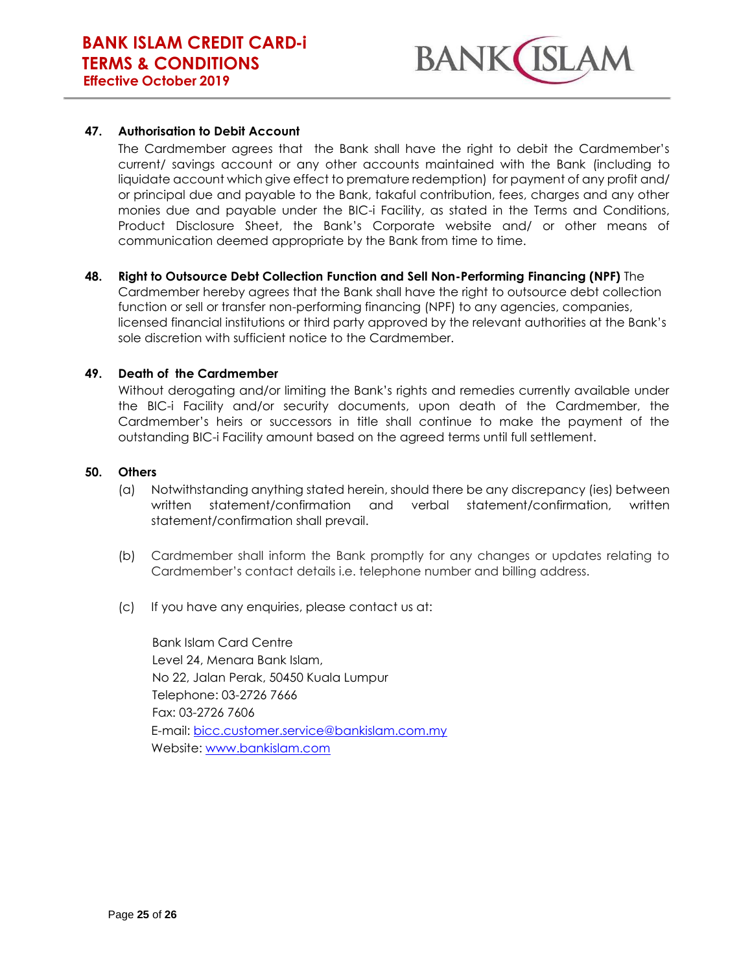

# **47. Authorisation to Debit Account**

The Cardmember agrees that the Bank shall have the right to debit the Cardmember's current/ savings account or any other accounts maintained with the Bank (including to liquidate account which give effect to premature redemption) for payment of any profit and/ or principal due and payable to the Bank, takaful contribution, fees, charges and any other monies due and payable under the BIC-i Facility, as stated in the Terms and Conditions, Product Disclosure Sheet, the Bank's Corporate website and/ or other means of communication deemed appropriate by the Bank from time to time.

### **48. Right to Outsource Debt Collection Function and Sell Non-Performing Financing (NPF)** The

Cardmember hereby agrees that the Bank shall have the right to outsource debt collection function or sell or transfer non-performing financing (NPF) to any agencies, companies, licensed financial institutions or third party approved by the relevant authorities at the Bank's sole discretion with sufficient notice to the Cardmember.

### **49. Death of the Cardmember**

Without derogating and/or limiting the Bank's rights and remedies currently available under the BIC-i Facility and/or security documents, upon death of the Cardmember, the Cardmember's heirs or successors in title shall continue to make the payment of the outstanding BIC-i Facility amount based on the agreed terms until full settlement.

#### **50. Others**

- (a) Notwithstanding anything stated herein, should there be any discrepancy (ies) between written statement/confirmation and verbal statement/confirmation, written statement/confirmation shall prevail.
- (b) Cardmember shall inform the Bank promptly for any changes or updates relating to Cardmember's contact details i.e. telephone number and billing address.
- (c) If you have any enquiries, please contact us at:

Bank Islam Card Centre Level 24, Menara Bank Islam, No 22, Jalan Perak, 50450 Kuala Lumpur Telephone: 03-2726 7666 Fax: 03-2726 7606 E-mail: bicc.customer.service@bankislam.com.my Website: www.bankislam.com